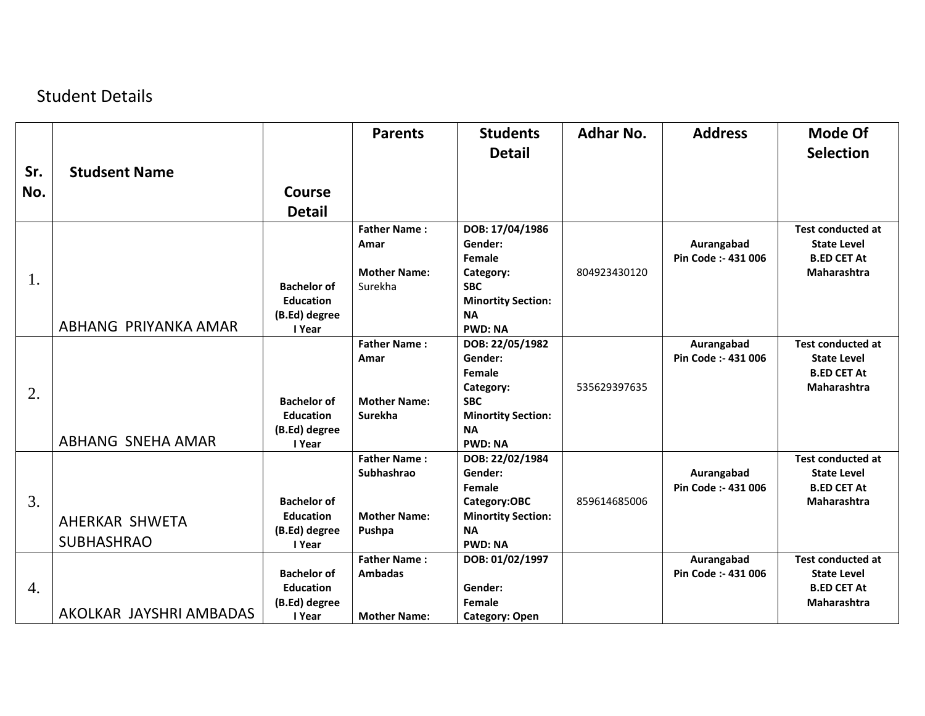## Student Details

|     |                          |                                        | <b>Parents</b>      | <b>Students</b><br><b>Detail</b>          | <b>Adhar No.</b> | <b>Address</b>                    | Mode Of<br><b>Selection</b>              |
|-----|--------------------------|----------------------------------------|---------------------|-------------------------------------------|------------------|-----------------------------------|------------------------------------------|
| Sr. | <b>Studsent Name</b>     |                                        |                     |                                           |                  |                                   |                                          |
| No. |                          | Course                                 |                     |                                           |                  |                                   |                                          |
|     |                          | <b>Detail</b>                          |                     |                                           |                  |                                   |                                          |
|     |                          |                                        | <b>Father Name:</b> | DOB: 17/04/1986                           |                  |                                   | <b>Test conducted at</b>                 |
|     |                          |                                        | Amar                | Gender:<br>Female                         |                  | Aurangabad<br>Pin Code :- 431 006 | <b>State Level</b><br><b>B.ED CET At</b> |
|     |                          |                                        | <b>Mother Name:</b> | Category:                                 | 804923430120     |                                   | Maharashtra                              |
| 1.  |                          | <b>Bachelor of</b>                     | Surekha             | <b>SBC</b>                                |                  |                                   |                                          |
|     |                          | <b>Education</b>                       |                     | <b>Minortity Section:</b>                 |                  |                                   |                                          |
|     |                          | (B.Ed) degree                          |                     | <b>NA</b>                                 |                  |                                   |                                          |
|     | ABHANG PRIYANKA AMAR     | I Year                                 |                     | <b>PWD: NA</b>                            |                  |                                   |                                          |
|     |                          |                                        | <b>Father Name:</b> | DOB: 22/05/1982                           |                  | Aurangabad                        | <b>Test conducted at</b>                 |
|     |                          |                                        | Amar                | Gender:                                   |                  | Pin Code :- 431 006               | <b>State Level</b>                       |
|     |                          |                                        |                     | Female                                    | 535629397635     |                                   | <b>B.ED CET At</b><br>Maharashtra        |
| 2.  |                          | <b>Bachelor of</b>                     | <b>Mother Name:</b> | Category:<br><b>SBC</b>                   |                  |                                   |                                          |
|     |                          | <b>Education</b>                       | Surekha             | <b>Minortity Section:</b>                 |                  |                                   |                                          |
|     |                          | (B.Ed) degree                          |                     | <b>NA</b>                                 |                  |                                   |                                          |
|     | <b>ABHANG SNEHA AMAR</b> | I Year                                 |                     | <b>PWD: NA</b>                            |                  |                                   |                                          |
|     |                          |                                        | <b>Father Name:</b> | DOB: 22/02/1984                           |                  |                                   | <b>Test conducted at</b>                 |
|     |                          |                                        | Subhashrao          | Gender:                                   |                  | Aurangabad                        | <b>State Level</b>                       |
|     |                          |                                        |                     | Female                                    |                  | Pin Code: - 431 006               | <b>B.ED CET At</b>                       |
| 3.  |                          | <b>Bachelor of</b><br><b>Education</b> | <b>Mother Name:</b> | Category:OBC<br><b>Minortity Section:</b> | 859614685006     |                                   | Maharashtra                              |
|     | AHERKAR SHWETA           | (B.Ed) degree                          | Pushpa              | <b>NA</b>                                 |                  |                                   |                                          |
|     | <b>SUBHASHRAO</b>        | I Year                                 |                     | <b>PWD: NA</b>                            |                  |                                   |                                          |
|     |                          |                                        | <b>Father Name:</b> | DOB: 01/02/1997                           |                  | Aurangabad                        | <b>Test conducted at</b>                 |
|     |                          | <b>Bachelor of</b>                     | <b>Ambadas</b>      |                                           |                  | Pin Code :- 431 006               | <b>State Level</b>                       |
| 4.  |                          | <b>Education</b>                       |                     | Gender:                                   |                  |                                   | <b>B.ED CET At</b>                       |
|     | AKOLKAR JAYSHRI AMBADAS  | (B.Ed) degree                          |                     | Female                                    |                  |                                   | Maharashtra                              |
|     |                          | I Year                                 | <b>Mother Name:</b> | <b>Category: Open</b>                     |                  |                                   |                                          |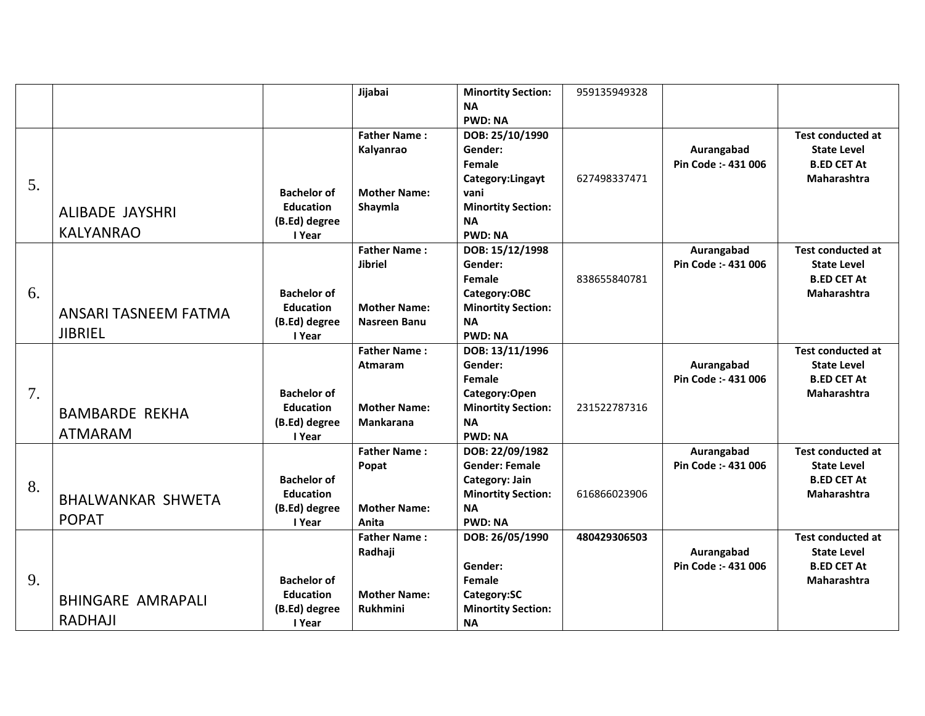|    |                          |                    | Jijabai             | <b>Minortity Section:</b> | 959135949328 |                     |                          |
|----|--------------------------|--------------------|---------------------|---------------------------|--------------|---------------------|--------------------------|
|    |                          |                    |                     | <b>NA</b>                 |              |                     |                          |
|    |                          |                    |                     | <b>PWD: NA</b>            |              |                     |                          |
|    |                          |                    | <b>Father Name:</b> | DOB: 25/10/1990           |              |                     | <b>Test conducted at</b> |
|    |                          |                    | Kalyanrao           | Gender:                   |              | Aurangabad          | <b>State Level</b>       |
|    |                          |                    |                     | Female                    |              | Pin Code :- 431 006 | <b>B.ED CET At</b>       |
| 5. |                          |                    |                     | Category:Lingayt          | 627498337471 |                     | Maharashtra              |
|    |                          | <b>Bachelor of</b> | <b>Mother Name:</b> | vani                      |              |                     |                          |
|    | ALIBADE JAYSHRI          | <b>Education</b>   | Shaymla             | <b>Minortity Section:</b> |              |                     |                          |
|    |                          | (B.Ed) degree      |                     | <b>NA</b>                 |              |                     |                          |
|    | <b>KALYANRAO</b>         | I Year             |                     | <b>PWD: NA</b>            |              |                     |                          |
|    |                          |                    | <b>Father Name:</b> | DOB: 15/12/1998           |              | Aurangabad          | <b>Test conducted at</b> |
|    |                          |                    | <b>Jibriel</b>      | Gender:                   |              | Pin Code :- 431 006 | <b>State Level</b>       |
|    |                          |                    |                     | Female                    | 838655840781 |                     | <b>B.ED CET At</b>       |
| 6. |                          | <b>Bachelor of</b> |                     | Category:OBC              |              |                     | Maharashtra              |
|    | ANSARI TASNEEM FATMA     | <b>Education</b>   | <b>Mother Name:</b> | <b>Minortity Section:</b> |              |                     |                          |
|    |                          | (B.Ed) degree      | <b>Nasreen Banu</b> | <b>NA</b>                 |              |                     |                          |
|    | <b>JIBRIEL</b>           | I Year             |                     | <b>PWD: NA</b>            |              |                     |                          |
|    |                          |                    | <b>Father Name:</b> | DOB: 13/11/1996           |              |                     | <b>Test conducted at</b> |
|    |                          |                    | <b>Atmaram</b>      | Gender:                   |              | Aurangabad          | <b>State Level</b>       |
|    |                          |                    |                     | Female                    |              | Pin Code :- 431 006 | <b>B.ED CET At</b>       |
| 7. |                          | <b>Bachelor of</b> |                     | Category:Open             |              |                     | Maharashtra              |
|    | <b>BAMBARDE REKHA</b>    | <b>Education</b>   | <b>Mother Name:</b> | <b>Minortity Section:</b> | 231522787316 |                     |                          |
|    |                          | (B.Ed) degree      | Mankarana           | <b>NA</b>                 |              |                     |                          |
|    | <b>ATMARAM</b>           | I Year             |                     | <b>PWD: NA</b>            |              |                     |                          |
|    |                          |                    | <b>Father Name:</b> | DOB: 22/09/1982           |              | Aurangabad          | <b>Test conducted at</b> |
|    |                          |                    | Popat               | <b>Gender: Female</b>     |              | Pin Code :- 431 006 | <b>State Level</b>       |
| 8. |                          | <b>Bachelor of</b> |                     | Category: Jain            |              |                     | <b>B.ED CET At</b>       |
|    | <b>BHALWANKAR SHWETA</b> | <b>Education</b>   |                     | <b>Minortity Section:</b> | 616866023906 |                     | Maharashtra              |
|    | <b>POPAT</b>             | (B.Ed) degree      | <b>Mother Name:</b> | <b>NA</b>                 |              |                     |                          |
|    |                          | I Year             | Anita               | <b>PWD: NA</b>            |              |                     |                          |
|    |                          |                    | <b>Father Name:</b> | DOB: 26/05/1990           | 480429306503 |                     | <b>Test conducted at</b> |
|    |                          |                    | Radhaji             |                           |              | Aurangabad          | <b>State Level</b>       |
|    |                          |                    |                     | Gender:                   |              | Pin Code :- 431 006 | <b>B.ED CET At</b>       |
| 9. |                          | <b>Bachelor of</b> |                     | Female                    |              |                     | <b>Maharashtra</b>       |
|    | <b>BHINGARE AMRAPALI</b> | <b>Education</b>   | <b>Mother Name:</b> | Category:SC               |              |                     |                          |
|    | <b>RADHAJI</b>           | (B.Ed) degree      | Rukhmini            | <b>Minortity Section:</b> |              |                     |                          |
|    |                          | I Year             |                     | <b>NA</b>                 |              |                     |                          |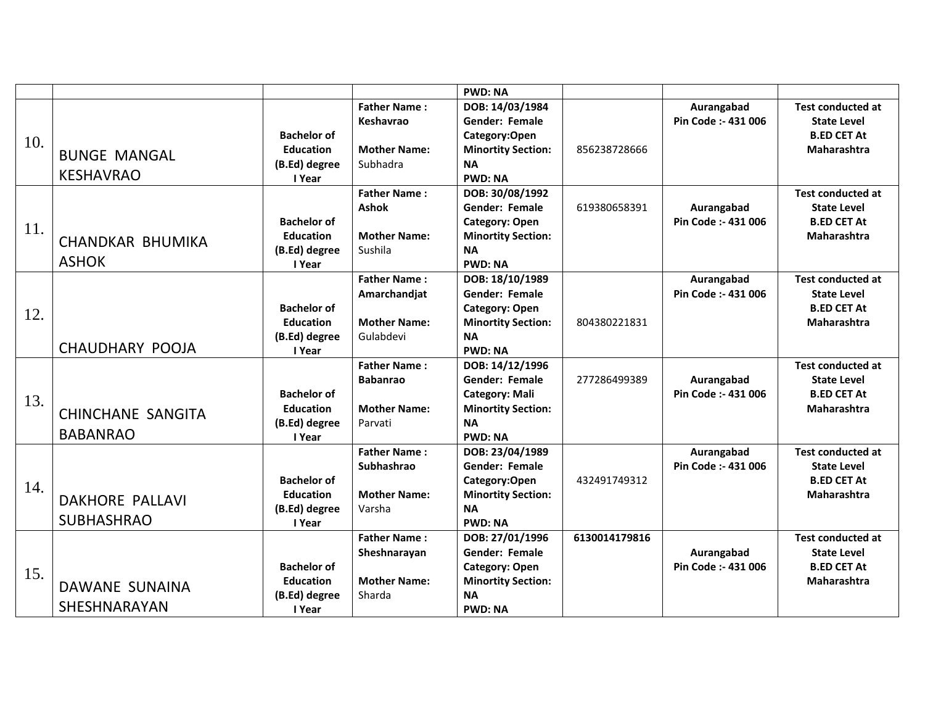|     |                                             |                                                                   |                                                                          | <b>PWD: NA</b>                                                                                                                |               |                                   |                                                                                            |
|-----|---------------------------------------------|-------------------------------------------------------------------|--------------------------------------------------------------------------|-------------------------------------------------------------------------------------------------------------------------------|---------------|-----------------------------------|--------------------------------------------------------------------------------------------|
| 10. | <b>BUNGE MANGAL</b>                         | <b>Bachelor of</b><br><b>Education</b>                            | <b>Father Name:</b><br>Keshavrao<br><b>Mother Name:</b>                  | DOB: 14/03/1984<br>Gender: Female<br>Category:Open<br><b>Minortity Section:</b>                                               | 856238728666  | Aurangabad<br>Pin Code :- 431 006 | <b>Test conducted at</b><br><b>State Level</b><br><b>B.ED CET At</b><br>Maharashtra        |
|     | <b>KESHAVRAO</b>                            | (B.Ed) degree<br>I Year                                           | Subhadra                                                                 | <b>NA</b><br><b>PWD: NA</b>                                                                                                   |               |                                   |                                                                                            |
| 11. | <b>CHANDKAR BHUMIKA</b><br><b>ASHOK</b>     | <b>Bachelor of</b><br><b>Education</b><br>(B.Ed) degree<br>I Year | <b>Father Name:</b><br><b>Ashok</b><br><b>Mother Name:</b><br>Sushila    | DOB: 30/08/1992<br><b>Gender: Female</b><br>Category: Open<br><b>Minortity Section:</b><br><b>NA</b><br><b>PWD: NA</b>        | 619380658391  | Aurangabad<br>Pin Code: - 431 006 | <b>Test conducted at</b><br><b>State Level</b><br><b>B.ED CET At</b><br><b>Maharashtra</b> |
| 12. | <b>CHAUDHARY POOJA</b>                      | <b>Bachelor of</b><br><b>Education</b><br>(B.Ed) degree<br>I Year | <b>Father Name:</b><br>Amarchandjat<br><b>Mother Name:</b><br>Gulabdevi  | DOB: 18/10/1989<br><b>Gender: Female</b><br><b>Category: Open</b><br><b>Minortity Section:</b><br><b>NA</b><br><b>PWD: NA</b> | 804380221831  | Aurangabad<br>Pin Code :- 431 006 | <b>Test conducted at</b><br><b>State Level</b><br><b>B.ED CET At</b><br>Maharashtra        |
| 13. | <b>CHINCHANE SANGITA</b><br><b>BABANRAO</b> | <b>Bachelor of</b><br><b>Education</b><br>(B.Ed) degree<br>I Year | <b>Father Name:</b><br><b>Babanrao</b><br><b>Mother Name:</b><br>Parvati | DOB: 14/12/1996<br><b>Gender: Female</b><br><b>Category: Mali</b><br><b>Minortity Section:</b><br><b>NA</b><br><b>PWD: NA</b> | 277286499389  | Aurangabad<br>Pin Code: - 431 006 | <b>Test conducted at</b><br><b>State Level</b><br><b>B.ED CET At</b><br>Maharashtra        |
| 14. | <b>DAKHORE PALLAVI</b><br><b>SUBHASHRAO</b> | <b>Bachelor of</b><br><b>Education</b><br>(B.Ed) degree<br>I Year | <b>Father Name:</b><br>Subhashrao<br><b>Mother Name:</b><br>Varsha       | DOB: 23/04/1989<br><b>Gender: Female</b><br>Category:Open<br><b>Minortity Section:</b><br><b>NA</b><br><b>PWD: NA</b>         | 432491749312  | Aurangabad<br>Pin Code :- 431 006 | <b>Test conducted at</b><br><b>State Level</b><br><b>B.ED CET At</b><br><b>Maharashtra</b> |
| 15. | DAWANE SUNAINA<br><b>SHESHNARAYAN</b>       | <b>Bachelor of</b><br><b>Education</b><br>(B.Ed) degree<br>I Year | <b>Father Name:</b><br>Sheshnarayan<br><b>Mother Name:</b><br>Sharda     | DOB: 27/01/1996<br>Gender: Female<br><b>Category: Open</b><br><b>Minortity Section:</b><br><b>NA</b><br><b>PWD: NA</b>        | 6130014179816 | Aurangabad<br>Pin Code :- 431 006 | <b>Test conducted at</b><br><b>State Level</b><br><b>B.ED CET At</b><br><b>Maharashtra</b> |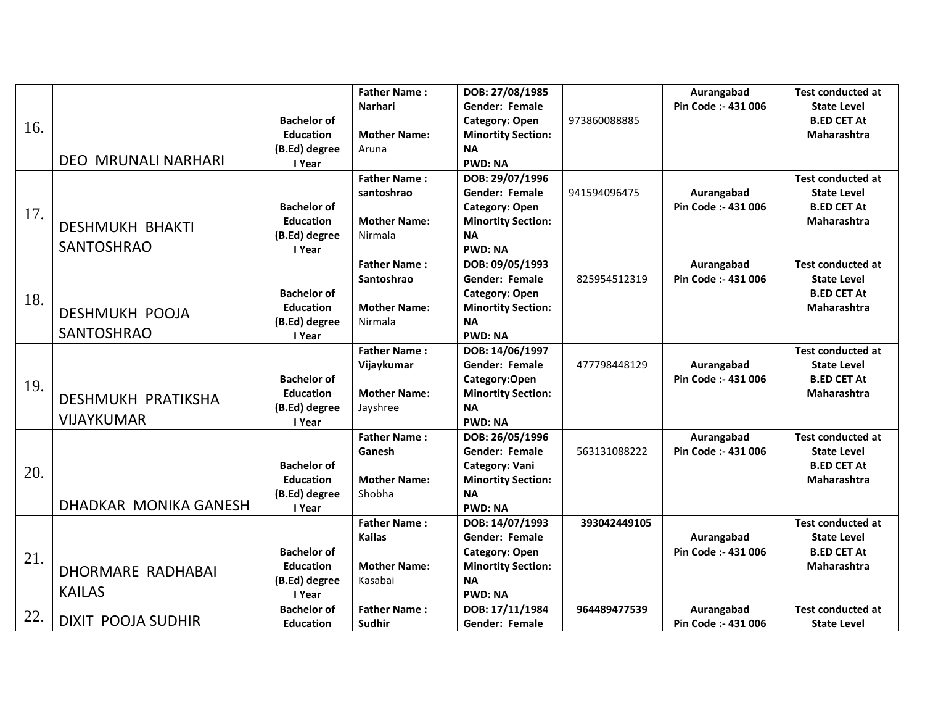|     |                            |                    | <b>Father Name:</b> | DOB: 27/08/1985           |              | Aurangabad          | <b>Test conducted at</b> |
|-----|----------------------------|--------------------|---------------------|---------------------------|--------------|---------------------|--------------------------|
|     |                            |                    | <b>Narhari</b>      | <b>Gender: Female</b>     |              | Pin Code :- 431 006 | <b>State Level</b>       |
|     |                            | <b>Bachelor of</b> |                     | Category: Open            | 973860088885 |                     | <b>B.ED CET At</b>       |
| 16. |                            | <b>Education</b>   | <b>Mother Name:</b> | <b>Minortity Section:</b> |              |                     | Maharashtra              |
|     |                            | (B.Ed) degree      | Aruna               | <b>NA</b>                 |              |                     |                          |
|     | <b>DEO MRUNALI NARHARI</b> | I Year             |                     | <b>PWD: NA</b>            |              |                     |                          |
|     |                            |                    | <b>Father Name:</b> | DOB: 29/07/1996           |              |                     | <b>Test conducted at</b> |
|     |                            |                    | santoshrao          | Gender: Female            | 941594096475 | Aurangabad          | <b>State Level</b>       |
| 17. |                            | <b>Bachelor of</b> |                     | Category: Open            |              | Pin Code :- 431 006 | <b>B.ED CET At</b>       |
|     | <b>DESHMUKH BHAKTI</b>     | <b>Education</b>   | <b>Mother Name:</b> | <b>Minortity Section:</b> |              |                     | <b>Maharashtra</b>       |
|     |                            | (B.Ed) degree      | Nirmala             | <b>NA</b>                 |              |                     |                          |
|     | <b>SANTOSHRAO</b>          | I Year             |                     | <b>PWD: NA</b>            |              |                     |                          |
|     |                            |                    | <b>Father Name:</b> | DOB: 09/05/1993           |              | Aurangabad          | <b>Test conducted at</b> |
|     |                            |                    | Santoshrao          | Gender: Female            | 825954512319 | Pin Code :- 431 006 | <b>State Level</b>       |
| 18. |                            | <b>Bachelor of</b> |                     | Category: Open            |              |                     | <b>B.ED CET At</b>       |
|     | <b>DESHMUKH POOJA</b>      | <b>Education</b>   | <b>Mother Name:</b> | <b>Minortity Section:</b> |              |                     | Maharashtra              |
|     |                            | (B.Ed) degree      | Nirmala             | <b>NA</b>                 |              |                     |                          |
|     | <b>SANTOSHRAO</b>          | I Year             |                     | <b>PWD: NA</b>            |              |                     |                          |
|     |                            |                    | <b>Father Name:</b> | DOB: 14/06/1997           |              |                     | <b>Test conducted at</b> |
|     |                            |                    | Vijaykumar          | Gender: Female            | 477798448129 | Aurangabad          | <b>State Level</b>       |
| 19. |                            | <b>Bachelor of</b> |                     | Category:Open             |              | Pin Code :- 431 006 | <b>B.ED CET At</b>       |
|     | <b>DESHMUKH PRATIKSHA</b>  | <b>Education</b>   | <b>Mother Name:</b> | <b>Minortity Section:</b> |              |                     | Maharashtra              |
|     |                            | (B.Ed) degree      | Jayshree            | <b>NA</b>                 |              |                     |                          |
|     | <b>VIJAYKUMAR</b>          | I Year             |                     | <b>PWD: NA</b>            |              |                     |                          |
|     |                            |                    | <b>Father Name:</b> | DOB: 26/05/1996           |              | Aurangabad          | <b>Test conducted at</b> |
|     |                            |                    | Ganesh              | Gender: Female            | 563131088222 | Pin Code :- 431 006 | <b>State Level</b>       |
| 20. |                            | <b>Bachelor of</b> |                     | Category: Vani            |              |                     | <b>B.ED CET At</b>       |
|     |                            | <b>Education</b>   | <b>Mother Name:</b> | <b>Minortity Section:</b> |              |                     | Maharashtra              |
|     |                            | (B.Ed) degree      | Shobha              | <b>NA</b>                 |              |                     |                          |
|     | DHADKAR MONIKA GANESH      | I Year             |                     | <b>PWD: NA</b>            |              |                     |                          |
|     |                            |                    | <b>Father Name:</b> | DOB: 14/07/1993           | 393042449105 |                     | <b>Test conducted at</b> |
|     |                            |                    | <b>Kailas</b>       | <b>Gender: Female</b>     |              | Aurangabad          | <b>State Level</b>       |
| 21. |                            | <b>Bachelor of</b> |                     | <b>Category: Open</b>     |              | Pin Code: - 431 006 | <b>B.ED CET At</b>       |
|     | <b>DHORMARE RADHABAI</b>   | <b>Education</b>   | <b>Mother Name:</b> | <b>Minortity Section:</b> |              |                     | Maharashtra              |
|     | <b>KAILAS</b>              | (B.Ed) degree      | Kasabai             | <b>NA</b>                 |              |                     |                          |
|     |                            | I Year             |                     | <b>PWD: NA</b>            |              |                     |                          |
| 22. | <b>DIXIT POOJA SUDHIR</b>  | <b>Bachelor of</b> | <b>Father Name:</b> | DOB: 17/11/1984           | 964489477539 | Aurangabad          | <b>Test conducted at</b> |
|     |                            | <b>Education</b>   | Sudhir              | <b>Gender: Female</b>     |              | Pin Code: - 431 006 | <b>State Level</b>       |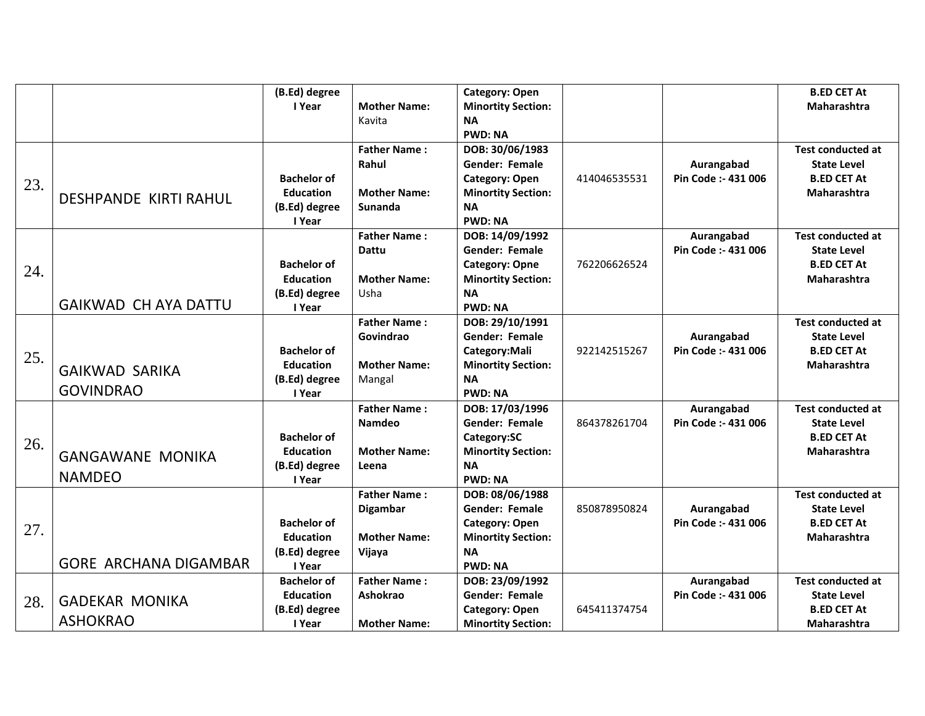|     |                              | (B.Ed) degree      |                     | Category: Open            |              |                     | <b>B.ED CET At</b>       |
|-----|------------------------------|--------------------|---------------------|---------------------------|--------------|---------------------|--------------------------|
|     |                              | I Year             | <b>Mother Name:</b> | <b>Minortity Section:</b> |              |                     | <b>Maharashtra</b>       |
|     |                              |                    | Kavita              | <b>NA</b>                 |              |                     |                          |
|     |                              |                    |                     | <b>PWD: NA</b>            |              |                     |                          |
|     |                              |                    | <b>Father Name:</b> | DOB: 30/06/1983           |              |                     | <b>Test conducted at</b> |
|     |                              |                    | Rahul               | Gender: Female            |              | Aurangabad          | <b>State Level</b>       |
| 23. |                              | <b>Bachelor of</b> |                     | <b>Category: Open</b>     | 414046535531 | Pin Code :- 431 006 | <b>B.ED CET At</b>       |
|     | <b>DESHPANDE KIRTI RAHUL</b> | <b>Education</b>   | <b>Mother Name:</b> | <b>Minortity Section:</b> |              |                     | <b>Maharashtra</b>       |
|     |                              | (B.Ed) degree      | <b>Sunanda</b>      | <b>NA</b>                 |              |                     |                          |
|     |                              | I Year             |                     | <b>PWD: NA</b>            |              |                     |                          |
|     |                              |                    | <b>Father Name:</b> | DOB: 14/09/1992           |              | Aurangabad          | <b>Test conducted at</b> |
|     |                              |                    | <b>Dattu</b>        | Gender: Female            |              | Pin Code :- 431 006 | <b>State Level</b>       |
| 24. |                              | <b>Bachelor of</b> |                     | <b>Category: Opne</b>     | 762206626524 |                     | <b>B.ED CET At</b>       |
|     |                              | <b>Education</b>   | <b>Mother Name:</b> | <b>Minortity Section:</b> |              |                     | <b>Maharashtra</b>       |
|     |                              | (B.Ed) degree      | Usha                | <b>NA</b>                 |              |                     |                          |
|     | <b>GAIKWAD CH AYA DATTU</b>  | I Year             |                     | <b>PWD: NA</b>            |              |                     |                          |
|     |                              |                    | <b>Father Name:</b> | DOB: 29/10/1991           |              |                     | <b>Test conducted at</b> |
|     |                              |                    | Govindrao           | <b>Gender: Female</b>     |              | Aurangabad          | <b>State Level</b>       |
| 25. |                              | <b>Bachelor of</b> |                     | Category: Mali            | 922142515267 | Pin Code :- 431 006 | <b>B.ED CET At</b>       |
|     | <b>GAIKWAD SARIKA</b>        | <b>Education</b>   | <b>Mother Name:</b> | <b>Minortity Section:</b> |              |                     | <b>Maharashtra</b>       |
|     |                              | (B.Ed) degree      | Mangal              | <b>NA</b>                 |              |                     |                          |
|     | <b>GOVINDRAO</b>             | I Year             |                     | <b>PWD: NA</b>            |              |                     |                          |
|     |                              |                    | <b>Father Name:</b> | DOB: 17/03/1996           |              | Aurangabad          | <b>Test conducted at</b> |
|     |                              |                    | <b>Namdeo</b>       | Gender: Female            | 864378261704 | Pin Code :- 431 006 | <b>State Level</b>       |
| 26. |                              | <b>Bachelor of</b> |                     | Category:SC               |              |                     | <b>B.ED CET At</b>       |
|     | <b>GANGAWANE MONIKA</b>      | <b>Education</b>   | <b>Mother Name:</b> | <b>Minortity Section:</b> |              |                     | Maharashtra              |
|     |                              | (B.Ed) degree      | Leena               | <b>NA</b>                 |              |                     |                          |
|     | <b>NAMDEO</b>                | I Year             |                     | <b>PWD: NA</b>            |              |                     |                          |
|     |                              |                    | <b>Father Name:</b> | DOB: 08/06/1988           |              |                     | <b>Test conducted at</b> |
|     |                              |                    | <b>Digambar</b>     | Gender: Female            | 850878950824 | Aurangabad          | <b>State Level</b>       |
| 27. |                              | <b>Bachelor of</b> |                     | <b>Category: Open</b>     |              | Pin Code :- 431 006 | <b>B.ED CET At</b>       |
|     |                              | <b>Education</b>   | <b>Mother Name:</b> | <b>Minortity Section:</b> |              |                     | Maharashtra              |
|     |                              | (B.Ed) degree      | Vijaya              | <b>NA</b>                 |              |                     |                          |
|     | <b>GORE ARCHANA DIGAMBAR</b> | I Year             |                     | <b>PWD: NA</b>            |              |                     |                          |
|     |                              | <b>Bachelor of</b> | <b>Father Name:</b> | DOB: 23/09/1992           |              | Aurangabad          | <b>Test conducted at</b> |
| 28. | <b>GADEKAR MONIKA</b>        | <b>Education</b>   | Ashokrao            | <b>Gender: Female</b>     |              | Pin Code :- 431 006 | <b>State Level</b>       |
|     |                              | (B.Ed) degree      |                     | <b>Category: Open</b>     | 645411374754 |                     | <b>B.ED CET At</b>       |
|     | <b>ASHOKRAO</b>              | I Year             | <b>Mother Name:</b> | <b>Minortity Section:</b> |              |                     | <b>Maharashtra</b>       |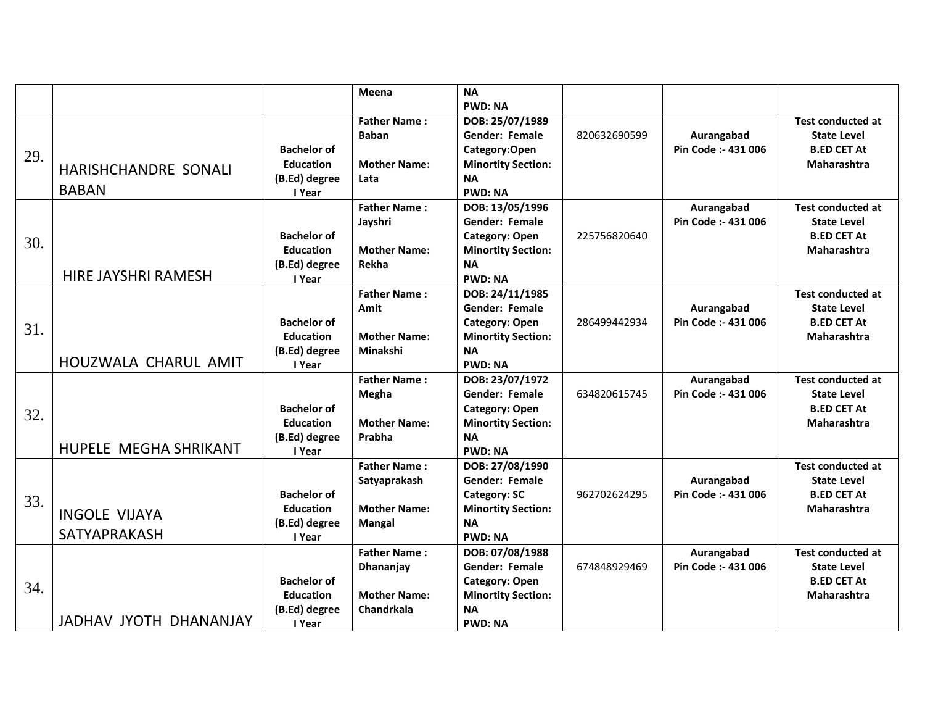|     |                             |                    | Meena               | <b>NA</b>                 |              |                     |                          |
|-----|-----------------------------|--------------------|---------------------|---------------------------|--------------|---------------------|--------------------------|
|     |                             |                    |                     | <b>PWD: NA</b>            |              |                     |                          |
|     |                             |                    | <b>Father Name:</b> | DOB: 25/07/1989           |              |                     | <b>Test conducted at</b> |
|     |                             |                    | <b>Baban</b>        | Gender: Female            | 820632690599 | Aurangabad          | <b>State Level</b>       |
| 29. |                             | <b>Bachelor of</b> |                     | Category:Open             |              | Pin Code :- 431 006 | <b>B.ED CET At</b>       |
|     | <b>HARISHCHANDRE SONALI</b> | <b>Education</b>   | <b>Mother Name:</b> | <b>Minortity Section:</b> |              |                     | Maharashtra              |
|     |                             | (B.Ed) degree      | Lata                | <b>NA</b>                 |              |                     |                          |
|     | <b>BABAN</b>                | I Year             |                     | <b>PWD: NA</b>            |              |                     |                          |
|     |                             |                    | <b>Father Name:</b> | DOB: 13/05/1996           |              | Aurangabad          | <b>Test conducted at</b> |
|     |                             |                    | Jayshri             | Gender: Female            |              | Pin Code :- 431 006 | <b>State Level</b>       |
| 30. |                             | <b>Bachelor of</b> |                     | <b>Category: Open</b>     | 225756820640 |                     | <b>B.ED CET At</b>       |
|     |                             | <b>Education</b>   | <b>Mother Name:</b> | <b>Minortity Section:</b> |              |                     | <b>Maharashtra</b>       |
|     |                             | (B.Ed) degree      | Rekha               | <b>NA</b>                 |              |                     |                          |
|     | <b>HIRE JAYSHRI RAMESH</b>  | I Year             |                     | <b>PWD: NA</b>            |              |                     |                          |
|     |                             |                    | <b>Father Name:</b> | DOB: 24/11/1985           |              |                     | <b>Test conducted at</b> |
|     |                             |                    | Amit                | <b>Gender: Female</b>     |              | Aurangabad          | <b>State Level</b>       |
| 31. |                             | <b>Bachelor of</b> |                     | Category: Open            | 286499442934 | Pin Code :- 431 006 | <b>B.ED CET At</b>       |
|     |                             | <b>Education</b>   | <b>Mother Name:</b> | <b>Minortity Section:</b> |              |                     | <b>Maharashtra</b>       |
|     |                             | (B.Ed) degree      | Minakshi            | <b>NA</b>                 |              |                     |                          |
|     | HOUZWALA CHARUL AMIT        | I Year             |                     | <b>PWD: NA</b>            |              |                     |                          |
|     |                             |                    | <b>Father Name:</b> | DOB: 23/07/1972           |              | Aurangabad          | <b>Test conducted at</b> |
|     |                             |                    | Megha               | Gender: Female            | 634820615745 | Pin Code: - 431 006 | <b>State Level</b>       |
| 32. |                             | <b>Bachelor of</b> |                     | Category: Open            |              |                     | <b>B.ED CET At</b>       |
|     |                             | <b>Education</b>   | <b>Mother Name:</b> | <b>Minortity Section:</b> |              |                     | Maharashtra              |
|     |                             | (B.Ed) degree      | Prabha              | <b>NA</b>                 |              |                     |                          |
|     | HUPELE MEGHA SHRIKANT       | I Year             |                     | <b>PWD: NA</b>            |              |                     |                          |
|     |                             |                    | <b>Father Name:</b> | DOB: 27/08/1990           |              |                     | <b>Test conducted at</b> |
|     |                             |                    | Satyaprakash        | Gender: Female            |              | Aurangabad          | <b>State Level</b>       |
| 33. |                             | <b>Bachelor of</b> |                     | <b>Category: SC</b>       | 962702624295 | Pin Code :- 431 006 | <b>B.ED CET At</b>       |
|     | <b>INGOLE VIJAYA</b>        | <b>Education</b>   | <b>Mother Name:</b> | <b>Minortity Section:</b> |              |                     | Maharashtra              |
|     |                             | (B.Ed) degree      | <b>Mangal</b>       | <b>NA</b>                 |              |                     |                          |
|     | SATYAPRAKASH                | I Year             |                     | <b>PWD: NA</b>            |              |                     |                          |
|     |                             |                    | <b>Father Name:</b> | DOB: 07/08/1988           |              | Aurangabad          | <b>Test conducted at</b> |
|     |                             |                    | Dhananjay           | <b>Gender: Female</b>     | 674848929469 | Pin Code :- 431 006 | <b>State Level</b>       |
| 34. |                             | <b>Bachelor of</b> |                     | <b>Category: Open</b>     |              |                     | <b>B.ED CET At</b>       |
|     |                             | <b>Education</b>   | <b>Mother Name:</b> | <b>Minortity Section:</b> |              |                     | <b>Maharashtra</b>       |
|     |                             | (B.Ed) degree      | Chandrkala          | <b>NA</b>                 |              |                     |                          |
|     | JADHAV JYOTH DHANANJAY      | I Year             |                     | <b>PWD: NA</b>            |              |                     |                          |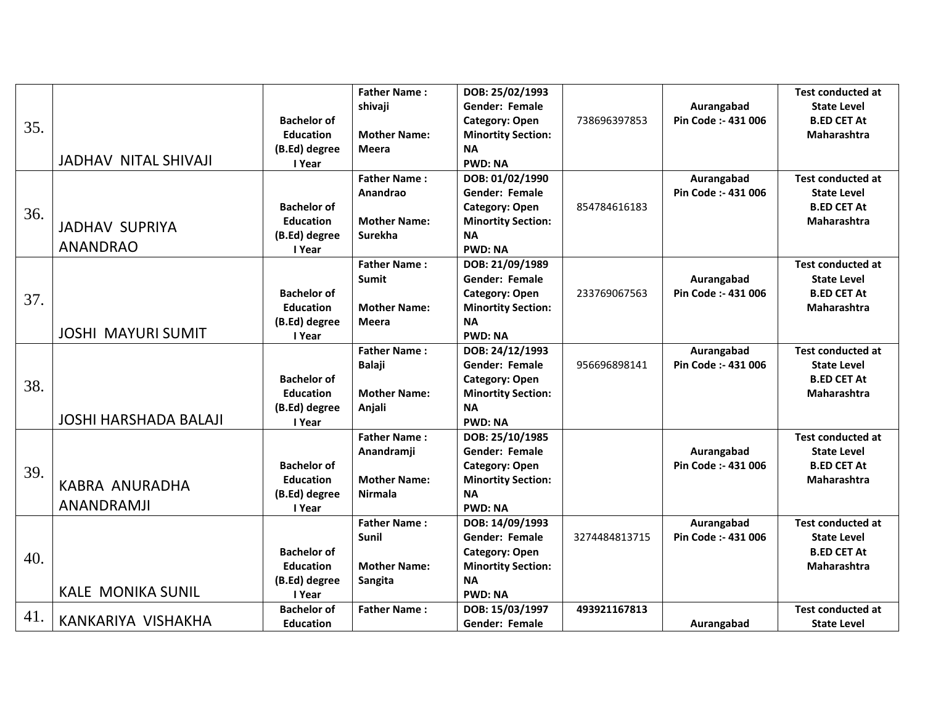|     |                              |                    | <b>Father Name:</b> | DOB: 25/02/1993           |               |                     | <b>Test conducted at</b> |
|-----|------------------------------|--------------------|---------------------|---------------------------|---------------|---------------------|--------------------------|
|     |                              |                    | shivaji             | <b>Gender: Female</b>     |               | Aurangabad          | <b>State Level</b>       |
|     |                              | <b>Bachelor of</b> |                     | <b>Category: Open</b>     | 738696397853  | Pin Code :- 431 006 | <b>B.ED CET At</b>       |
| 35. |                              | <b>Education</b>   | <b>Mother Name:</b> | <b>Minortity Section:</b> |               |                     | Maharashtra              |
|     |                              | (B.Ed) degree      | <b>Meera</b>        | <b>NA</b>                 |               |                     |                          |
|     | <b>JADHAV NITAL SHIVAJI</b>  | I Year             |                     | <b>PWD: NA</b>            |               |                     |                          |
|     |                              |                    | <b>Father Name:</b> | DOB: 01/02/1990           |               | Aurangabad          | <b>Test conducted at</b> |
|     |                              |                    | Anandrao            | Gender: Female            |               | Pin Code :- 431 006 | <b>State Level</b>       |
| 36. |                              | <b>Bachelor of</b> |                     | <b>Category: Open</b>     | 854784616183  |                     | <b>B.ED CET At</b>       |
|     | <b>JADHAV SUPRIYA</b>        | <b>Education</b>   | <b>Mother Name:</b> | <b>Minortity Section:</b> |               |                     | <b>Maharashtra</b>       |
|     |                              | (B.Ed) degree      | <b>Surekha</b>      | <b>NA</b>                 |               |                     |                          |
|     | <b>ANANDRAO</b>              | I Year             |                     | <b>PWD: NA</b>            |               |                     |                          |
|     |                              |                    | <b>Father Name:</b> | DOB: 21/09/1989           |               |                     | <b>Test conducted at</b> |
|     |                              |                    | <b>Sumit</b>        | <b>Gender: Female</b>     |               | Aurangabad          | <b>State Level</b>       |
| 37. |                              | <b>Bachelor of</b> |                     | <b>Category: Open</b>     | 233769067563  | Pin Code :- 431 006 | <b>B.ED CET At</b>       |
|     |                              | <b>Education</b>   | <b>Mother Name:</b> | <b>Minortity Section:</b> |               |                     | <b>Maharashtra</b>       |
|     |                              | (B.Ed) degree      | <b>Meera</b>        | <b>NA</b>                 |               |                     |                          |
|     | <b>JOSHI MAYURI SUMIT</b>    | I Year             |                     | <b>PWD: NA</b>            |               |                     |                          |
|     |                              |                    | <b>Father Name:</b> | DOB: 24/12/1993           |               | Aurangabad          | <b>Test conducted at</b> |
|     |                              |                    | <b>Balaji</b>       | <b>Gender: Female</b>     | 956696898141  | Pin Code :- 431 006 | <b>State Level</b>       |
| 38. |                              | <b>Bachelor of</b> |                     | <b>Category: Open</b>     |               |                     | <b>B.ED CET At</b>       |
|     |                              | <b>Education</b>   | <b>Mother Name:</b> | <b>Minortity Section:</b> |               |                     | <b>Maharashtra</b>       |
|     |                              | (B.Ed) degree      | Anjali              | <b>NA</b>                 |               |                     |                          |
|     | <b>JOSHI HARSHADA BALAJI</b> | I Year             |                     | <b>PWD: NA</b>            |               |                     |                          |
|     |                              |                    | <b>Father Name:</b> | DOB: 25/10/1985           |               |                     | <b>Test conducted at</b> |
|     |                              |                    | Anandramji          | <b>Gender: Female</b>     |               | Aurangabad          | <b>State Level</b>       |
| 39. |                              | <b>Bachelor of</b> |                     | <b>Category: Open</b>     |               | Pin Code :- 431 006 | <b>B.ED CET At</b>       |
|     | <b>KABRA ANURADHA</b>        | <b>Education</b>   | <b>Mother Name:</b> | <b>Minortity Section:</b> |               |                     | <b>Maharashtra</b>       |
|     |                              | (B.Ed) degree      | <b>Nirmala</b>      | <b>NA</b>                 |               |                     |                          |
|     | <b>ANANDRAMJI</b>            | I Year             |                     | <b>PWD: NA</b>            |               |                     |                          |
|     |                              |                    | <b>Father Name:</b> | DOB: 14/09/1993           |               | Aurangabad          | <b>Test conducted at</b> |
|     |                              |                    | Sunil               | <b>Gender: Female</b>     | 3274484813715 | Pin Code :- 431 006 | <b>State Level</b>       |
| 40. |                              | <b>Bachelor of</b> |                     | <b>Category: Open</b>     |               |                     | <b>B.ED CET At</b>       |
|     |                              | <b>Education</b>   | <b>Mother Name:</b> | <b>Minortity Section:</b> |               |                     | <b>Maharashtra</b>       |
|     |                              | (B.Ed) degree      | Sangita             | <b>NA</b>                 |               |                     |                          |
|     | <b>KALE MONIKA SUNIL</b>     | I Year             |                     | <b>PWD: NA</b>            |               |                     |                          |
| 41. |                              | <b>Bachelor of</b> | <b>Father Name:</b> | DOB: 15/03/1997           | 493921167813  |                     | <b>Test conducted at</b> |
|     | KANKARIYA VISHAKHA           | <b>Education</b>   |                     | Gender: Female            |               | Aurangabad          | <b>State Level</b>       |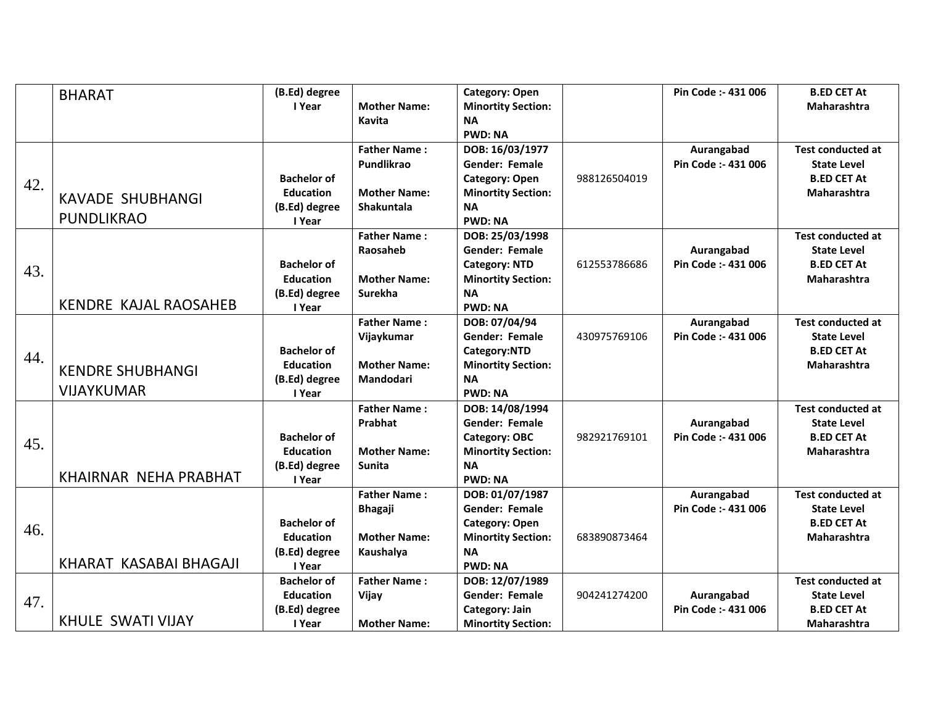|     | <b>BHARAT</b>                | (B.Ed) degree      |                     | <b>Category: Open</b>     |              | Pin Code :- 431 006 | <b>B.ED CET At</b>       |
|-----|------------------------------|--------------------|---------------------|---------------------------|--------------|---------------------|--------------------------|
|     |                              | I Year             | <b>Mother Name:</b> | <b>Minortity Section:</b> |              |                     | Maharashtra              |
|     |                              |                    | Kavita              | <b>NA</b>                 |              |                     |                          |
|     |                              |                    |                     | <b>PWD: NA</b>            |              |                     |                          |
|     |                              |                    | <b>Father Name:</b> | DOB: 16/03/1977           |              | Aurangabad          | <b>Test conducted at</b> |
|     |                              |                    | Pundlikrao          | Gender: Female            |              | Pin Code :- 431 006 | <b>State Level</b>       |
|     |                              | <b>Bachelor of</b> |                     | <b>Category: Open</b>     | 988126504019 |                     | <b>B.ED CET At</b>       |
| 42. | <b>KAVADE SHUBHANGI</b>      | <b>Education</b>   | <b>Mother Name:</b> | <b>Minortity Section:</b> |              |                     | <b>Maharashtra</b>       |
|     |                              | (B.Ed) degree      | Shakuntala          | <b>NA</b>                 |              |                     |                          |
|     | <b>PUNDLIKRAO</b>            | I Year             |                     | <b>PWD: NA</b>            |              |                     |                          |
|     |                              |                    | <b>Father Name:</b> | DOB: 25/03/1998           |              |                     | <b>Test conducted at</b> |
|     |                              |                    | Raosaheb            | <b>Gender: Female</b>     |              | Aurangabad          | <b>State Level</b>       |
|     |                              | <b>Bachelor of</b> |                     | <b>Category: NTD</b>      | 612553786686 | Pin Code :- 431 006 | <b>B.ED CET At</b>       |
| 43. |                              | <b>Education</b>   | <b>Mother Name:</b> | <b>Minortity Section:</b> |              |                     | <b>Maharashtra</b>       |
|     |                              | (B.Ed) degree      | Surekha             | <b>NA</b>                 |              |                     |                          |
|     | <b>KENDRE KAJAL RAOSAHEB</b> | I Year             |                     | <b>PWD: NA</b>            |              |                     |                          |
|     |                              |                    | <b>Father Name:</b> | DOB: 07/04/94             |              | Aurangabad          | <b>Test conducted at</b> |
|     |                              |                    | Vijaykumar          | Gender: Female            | 430975769106 | Pin Code :- 431 006 | <b>State Level</b>       |
| 44. |                              | <b>Bachelor of</b> |                     | Category:NTD              |              |                     | <b>B.ED CET At</b>       |
|     | <b>KENDRE SHUBHANGI</b>      | <b>Education</b>   | <b>Mother Name:</b> | <b>Minortity Section:</b> |              |                     | Maharashtra              |
|     |                              | (B.Ed) degree      | Mandodari           | <b>NA</b>                 |              |                     |                          |
|     | <b>VIJAYKUMAR</b>            | I Year             |                     | <b>PWD: NA</b>            |              |                     |                          |
|     |                              |                    | <b>Father Name:</b> | DOB: 14/08/1994           |              |                     | <b>Test conducted at</b> |
|     |                              |                    | Prabhat             | <b>Gender: Female</b>     |              | Aurangabad          | <b>State Level</b>       |
| 45. |                              | <b>Bachelor of</b> |                     | <b>Category: OBC</b>      | 982921769101 | Pin Code :- 431 006 | <b>B.ED CET At</b>       |
|     |                              | <b>Education</b>   | <b>Mother Name:</b> | <b>Minortity Section:</b> |              |                     | Maharashtra              |
|     |                              | (B.Ed) degree      | Sunita              | <b>NA</b>                 |              |                     |                          |
|     | KHAIRNAR NEHA PRABHAT        | I Year             |                     | <b>PWD: NA</b>            |              |                     |                          |
|     |                              |                    | <b>Father Name:</b> | DOB: 01/07/1987           |              | Aurangabad          | <b>Test conducted at</b> |
|     |                              |                    | <b>Bhagaji</b>      | <b>Gender: Female</b>     |              | Pin Code :- 431 006 | <b>State Level</b>       |
| 46. |                              | <b>Bachelor of</b> |                     | Category: Open            |              |                     | <b>B.ED CET At</b>       |
|     |                              | <b>Education</b>   | <b>Mother Name:</b> | <b>Minortity Section:</b> | 683890873464 |                     | <b>Maharashtra</b>       |
|     |                              | (B.Ed) degree      | Kaushalya           | <b>NA</b>                 |              |                     |                          |
|     | KHARAT KASABAI BHAGAJI       | I Year             |                     | <b>PWD: NA</b>            |              |                     |                          |
|     |                              | <b>Bachelor of</b> | <b>Father Name:</b> | DOB: 12/07/1989           |              |                     | <b>Test conducted at</b> |
| 47. |                              | <b>Education</b>   | Vijay               | <b>Gender: Female</b>     | 904241274200 | Aurangabad          | <b>State Level</b>       |
|     |                              | (B.Ed) degree      |                     | Category: Jain            |              | Pin Code :- 431 006 | <b>B.ED CET At</b>       |
|     | <b>KHULE SWATI VIJAY</b>     | I Year             | <b>Mother Name:</b> | <b>Minortity Section:</b> |              |                     | <b>Maharashtra</b>       |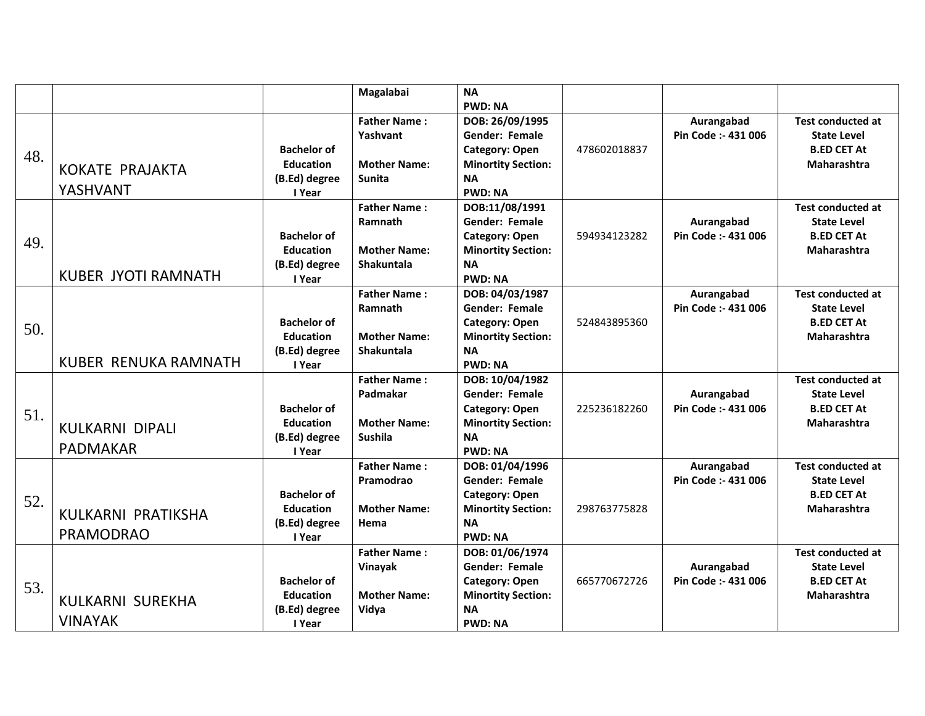|     |                                           |                                                                   | Magalabai                                                                  | <b>NA</b><br><b>PWD: NA</b>                                                                                                   |              |                                   |                                                                                            |
|-----|-------------------------------------------|-------------------------------------------------------------------|----------------------------------------------------------------------------|-------------------------------------------------------------------------------------------------------------------------------|--------------|-----------------------------------|--------------------------------------------------------------------------------------------|
| 48. | <b>KOKATE PRAJAKTA</b><br>YASHVANT        | <b>Bachelor of</b><br><b>Education</b><br>(B.Ed) degree<br>I Year | <b>Father Name:</b><br>Yashvant<br><b>Mother Name:</b><br><b>Sunita</b>    | DOB: 26/09/1995<br><b>Gender: Female</b><br><b>Category: Open</b><br><b>Minortity Section:</b><br><b>NA</b><br><b>PWD: NA</b> | 478602018837 | Aurangabad<br>Pin Code :- 431 006 | <b>Test conducted at</b><br><b>State Level</b><br><b>B.ED CET At</b><br>Maharashtra        |
| 49. | <b>KUBER JYOTI RAMNATH</b>                | <b>Bachelor of</b><br><b>Education</b><br>(B.Ed) degree<br>I Year | <b>Father Name:</b><br>Ramnath<br><b>Mother Name:</b><br><b>Shakuntala</b> | DOB:11/08/1991<br><b>Gender: Female</b><br><b>Category: Open</b><br><b>Minortity Section:</b><br><b>NA</b><br><b>PWD: NA</b>  | 594934123282 | Aurangabad<br>Pin Code :- 431 006 | <b>Test conducted at</b><br><b>State Level</b><br><b>B.ED CET At</b><br>Maharashtra        |
| 50. | KUBER RENUKA RAMNATH                      | <b>Bachelor of</b><br><b>Education</b><br>(B.Ed) degree<br>I Year | <b>Father Name:</b><br>Ramnath<br><b>Mother Name:</b><br><b>Shakuntala</b> | DOB: 04/03/1987<br><b>Gender: Female</b><br><b>Category: Open</b><br><b>Minortity Section:</b><br><b>NA</b><br><b>PWD: NA</b> | 524843895360 | Aurangabad<br>Pin Code :- 431 006 | <b>Test conducted at</b><br><b>State Level</b><br><b>B.ED CET At</b><br><b>Maharashtra</b> |
| 51. | <b>KULKARNI DIPALI</b><br><b>PADMAKAR</b> | <b>Bachelor of</b><br><b>Education</b><br>(B.Ed) degree<br>I Year | <b>Father Name:</b><br>Padmakar<br><b>Mother Name:</b><br><b>Sushila</b>   | DOB: 10/04/1982<br><b>Gender: Female</b><br><b>Category: Open</b><br><b>Minortity Section:</b><br><b>NA</b><br><b>PWD: NA</b> | 225236182260 | Aurangabad<br>Pin Code: - 431 006 | <b>Test conducted at</b><br><b>State Level</b><br><b>B.ED CET At</b><br><b>Maharashtra</b> |
| 52. | KULKARNI PRATIKSHA<br><b>PRAMODRAO</b>    | <b>Bachelor of</b><br><b>Education</b><br>(B.Ed) degree<br>I Year | <b>Father Name:</b><br>Pramodrao<br><b>Mother Name:</b><br>Hema            | DOB: 01/04/1996<br><b>Gender: Female</b><br><b>Category: Open</b><br><b>Minortity Section:</b><br><b>NA</b><br><b>PWD: NA</b> | 298763775828 | Aurangabad<br>Pin Code :- 431 006 | <b>Test conducted at</b><br><b>State Level</b><br><b>B.ED CET At</b><br><b>Maharashtra</b> |
| 53. | KULKARNI SUREKHA<br><b>VINAYAK</b>        | <b>Bachelor of</b><br><b>Education</b><br>(B.Ed) degree<br>I Year | <b>Father Name:</b><br>Vinayak<br><b>Mother Name:</b><br>Vidya             | DOB: 01/06/1974<br><b>Gender: Female</b><br><b>Category: Open</b><br><b>Minortity Section:</b><br><b>NA</b><br><b>PWD: NA</b> | 665770672726 | Aurangabad<br>Pin Code :- 431 006 | <b>Test conducted at</b><br><b>State Level</b><br><b>B.ED CET At</b><br>Maharashtra        |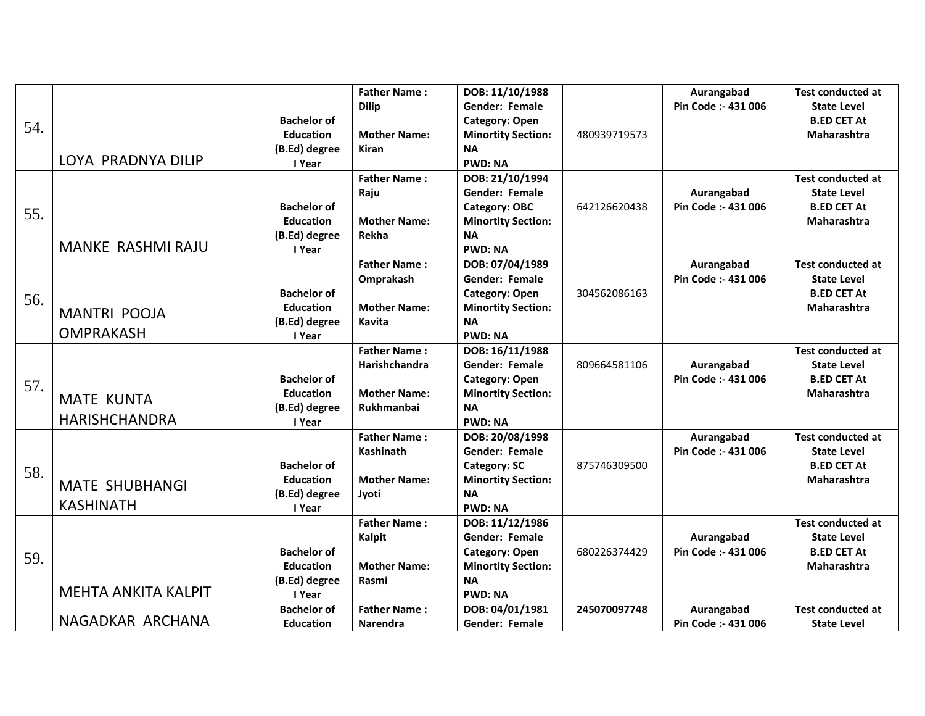| 54. | LOYA PRADNYA DILIP                        | <b>Bachelor of</b><br><b>Education</b><br>(B.Ed) degree<br>I Year | <b>Father Name:</b><br><b>Dilip</b><br><b>Mother Name:</b><br><b>Kiran</b> | DOB: 11/10/1988<br>Gender: Female<br>Category: Open<br><b>Minortity Section:</b><br><b>NA</b><br><b>PWD: NA</b>               | 480939719573 | Aurangabad<br>Pin Code :- 431 006 | <b>Test conducted at</b><br><b>State Level</b><br><b>B.ED CET At</b><br>Maharashtra        |
|-----|-------------------------------------------|-------------------------------------------------------------------|----------------------------------------------------------------------------|-------------------------------------------------------------------------------------------------------------------------------|--------------|-----------------------------------|--------------------------------------------------------------------------------------------|
| 55. | <b>MANKE RASHMI RAJU</b>                  | <b>Bachelor of</b><br><b>Education</b><br>(B.Ed) degree<br>I Year | <b>Father Name:</b><br>Raju<br><b>Mother Name:</b><br>Rekha                | DOB: 21/10/1994<br><b>Gender: Female</b><br>Category: OBC<br><b>Minortity Section:</b><br><b>NA</b><br><b>PWD: NA</b>         | 642126620438 | Aurangabad<br>Pin Code :- 431 006 | <b>Test conducted at</b><br><b>State Level</b><br><b>B.ED CET At</b><br><b>Maharashtra</b> |
| 56. | <b>MANTRI POOJA</b><br><b>OMPRAKASH</b>   | <b>Bachelor of</b><br><b>Education</b><br>(B.Ed) degree<br>I Year | <b>Father Name:</b><br>Omprakash<br><b>Mother Name:</b><br><b>Kavita</b>   | DOB: 07/04/1989<br><b>Gender: Female</b><br><b>Category: Open</b><br><b>Minortity Section:</b><br><b>NA</b><br><b>PWD: NA</b> | 304562086163 | Aurangabad<br>Pin Code :- 431 006 | <b>Test conducted at</b><br><b>State Level</b><br><b>B.ED CET At</b><br><b>Maharashtra</b> |
| 57. | <b>MATE KUNTA</b><br><b>HARISHCHANDRA</b> | <b>Bachelor of</b><br><b>Education</b><br>(B.Ed) degree<br>I Year | <b>Father Name:</b><br>Harishchandra<br><b>Mother Name:</b><br>Rukhmanbai  | DOB: 16/11/1988<br><b>Gender: Female</b><br><b>Category: Open</b><br><b>Minortity Section:</b><br><b>NA</b><br><b>PWD: NA</b> | 809664581106 | Aurangabad<br>Pin Code :- 431 006 | <b>Test conducted at</b><br><b>State Level</b><br><b>B.ED CET At</b><br><b>Maharashtra</b> |
| 58. | <b>MATE SHUBHANGI</b><br><b>KASHINATH</b> | <b>Bachelor of</b><br><b>Education</b><br>(B.Ed) degree<br>I Year | <b>Father Name:</b><br>Kashinath<br><b>Mother Name:</b><br>Jyoti           | DOB: 20/08/1998<br><b>Gender: Female</b><br><b>Category: SC</b><br><b>Minortity Section:</b><br><b>NA</b><br><b>PWD: NA</b>   | 875746309500 | Aurangabad<br>Pin Code :- 431 006 | <b>Test conducted at</b><br><b>State Level</b><br><b>B.ED CET At</b><br>Maharashtra        |
| 59. | <b>MEHTA ANKITA KALPIT</b>                | <b>Bachelor of</b><br><b>Education</b><br>(B.Ed) degree<br>I Year | <b>Father Name:</b><br>Kalpit<br><b>Mother Name:</b><br>Rasmi              | DOB: 11/12/1986<br><b>Gender: Female</b><br><b>Category: Open</b><br><b>Minortity Section:</b><br><b>NA</b><br><b>PWD: NA</b> | 680226374429 | Aurangabad<br>Pin Code :- 431 006 | <b>Test conducted at</b><br><b>State Level</b><br><b>B.ED CET At</b><br><b>Maharashtra</b> |
|     | NAGADKAR ARCHANA                          | <b>Bachelor of</b><br><b>Education</b>                            | <b>Father Name:</b><br><b>Narendra</b>                                     | DOB: 04/01/1981<br>Gender: Female                                                                                             | 245070097748 | Aurangabad<br>Pin Code: - 431 006 | <b>Test conducted at</b><br><b>State Level</b>                                             |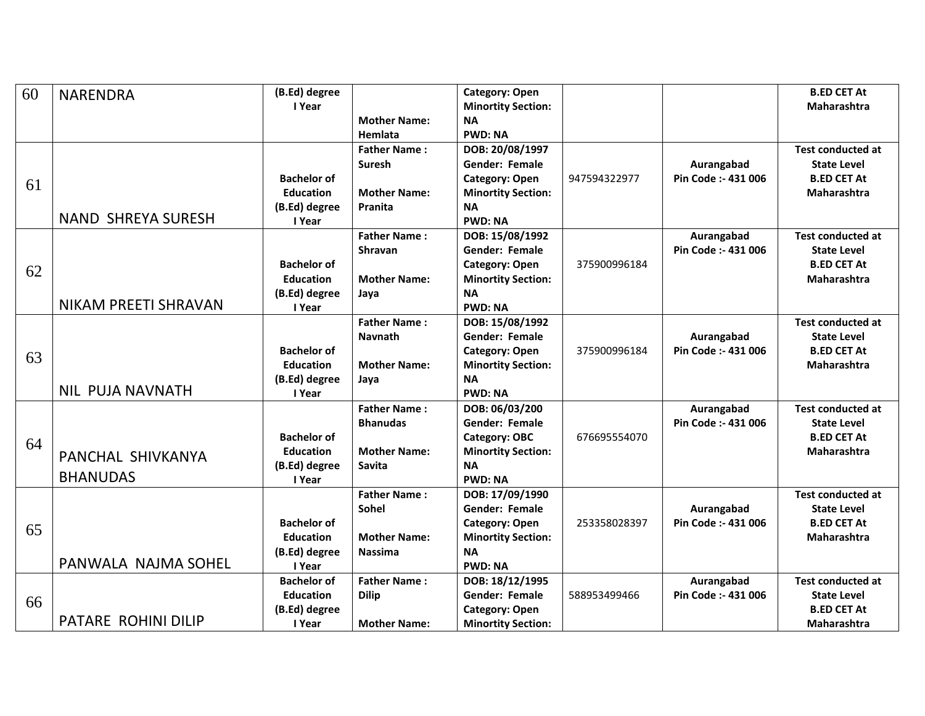| 60 | <b>NARENDRA</b>           | (B.Ed) degree      |                     | <b>Category: Open</b>     |              |                     | <b>B.ED CET At</b>       |
|----|---------------------------|--------------------|---------------------|---------------------------|--------------|---------------------|--------------------------|
|    |                           | I Year             |                     | <b>Minortity Section:</b> |              |                     | Maharashtra              |
|    |                           |                    | <b>Mother Name:</b> | <b>NA</b>                 |              |                     |                          |
|    |                           |                    | Hemlata             | <b>PWD: NA</b>            |              |                     |                          |
|    |                           |                    | <b>Father Name:</b> | DOB: 20/08/1997           |              |                     | <b>Test conducted at</b> |
|    |                           |                    | <b>Suresh</b>       | <b>Gender: Female</b>     |              | Aurangabad          | <b>State Level</b>       |
| 61 |                           | <b>Bachelor of</b> |                     | <b>Category: Open</b>     | 947594322977 | Pin Code :- 431 006 | <b>B.ED CET At</b>       |
|    |                           | <b>Education</b>   | <b>Mother Name:</b> | <b>Minortity Section:</b> |              |                     | <b>Maharashtra</b>       |
|    |                           | (B.Ed) degree      | Pranita             | <b>NA</b>                 |              |                     |                          |
|    | <b>NAND SHREYA SURESH</b> | I Year             |                     | <b>PWD: NA</b>            |              |                     |                          |
|    |                           |                    | <b>Father Name:</b> | DOB: 15/08/1992           |              | Aurangabad          | <b>Test conducted at</b> |
|    |                           |                    | <b>Shravan</b>      | <b>Gender: Female</b>     |              | Pin Code :- 431 006 | <b>State Level</b>       |
| 62 |                           | <b>Bachelor of</b> |                     | <b>Category: Open</b>     | 375900996184 |                     | <b>B.ED CET At</b>       |
|    |                           | <b>Education</b>   | <b>Mother Name:</b> | <b>Minortity Section:</b> |              |                     | Maharashtra              |
|    |                           | (B.Ed) degree      | Jaya                | <b>NA</b>                 |              |                     |                          |
|    | NIKAM PREETI SHRAVAN      | I Year             |                     | <b>PWD: NA</b>            |              |                     |                          |
|    |                           |                    | <b>Father Name:</b> | DOB: 15/08/1992           |              |                     | <b>Test conducted at</b> |
|    |                           |                    | <b>Navnath</b>      | <b>Gender: Female</b>     |              | Aurangabad          | <b>State Level</b>       |
| 63 |                           | <b>Bachelor of</b> |                     | <b>Category: Open</b>     | 375900996184 | Pin Code :- 431 006 | <b>B.ED CET At</b>       |
|    |                           | <b>Education</b>   | <b>Mother Name:</b> | <b>Minortity Section:</b> |              |                     | <b>Maharashtra</b>       |
|    |                           | (B.Ed) degree      | Java                | <b>NA</b>                 |              |                     |                          |
|    | <b>NIL PUJA NAVNATH</b>   | I Year             |                     | <b>PWD: NA</b>            |              |                     |                          |
|    |                           |                    | <b>Father Name:</b> | DOB: 06/03/200            |              | Aurangabad          | <b>Test conducted at</b> |
|    |                           |                    | <b>Bhanudas</b>     | Gender: Female            |              | Pin Code :- 431 006 | <b>State Level</b>       |
| 64 |                           | <b>Bachelor of</b> |                     | Category: OBC             | 676695554070 |                     | <b>B.ED CET At</b>       |
|    | PANCHAL SHIVKANYA         | <b>Education</b>   | <b>Mother Name:</b> | <b>Minortity Section:</b> |              |                     | Maharashtra              |
|    |                           | (B.Ed) degree      | Savita              | <b>NA</b>                 |              |                     |                          |
|    | <b>BHANUDAS</b>           | I Year             |                     | <b>PWD: NA</b>            |              |                     |                          |
|    |                           |                    | <b>Father Name:</b> | DOB: 17/09/1990           |              |                     | <b>Test conducted at</b> |
|    |                           |                    | Sohel               | <b>Gender: Female</b>     |              | Aurangabad          | <b>State Level</b>       |
| 65 |                           | <b>Bachelor of</b> |                     | <b>Category: Open</b>     | 253358028397 | Pin Code :- 431 006 | <b>B.ED CET At</b>       |
|    |                           | <b>Education</b>   | <b>Mother Name:</b> | <b>Minortity Section:</b> |              |                     | <b>Maharashtra</b>       |
|    | PANWALA NAJMA SOHEL       | (B.Ed) degree      | <b>Nassima</b>      | <b>NA</b>                 |              |                     |                          |
|    |                           | I Year             |                     | <b>PWD: NA</b>            |              |                     |                          |
|    |                           | <b>Bachelor of</b> | <b>Father Name:</b> | DOB: 18/12/1995           |              | Aurangabad          | <b>Test conducted at</b> |
| 66 |                           | <b>Education</b>   | <b>Dilip</b>        | <b>Gender: Female</b>     | 588953499466 | Pin Code :- 431 006 | <b>State Level</b>       |
|    | PATARE ROHINI DILIP       | (B.Ed) degree      |                     | <b>Category: Open</b>     |              |                     | <b>B.ED CET At</b>       |
|    |                           | I Year             | <b>Mother Name:</b> | <b>Minortity Section:</b> |              |                     | <b>Maharashtra</b>       |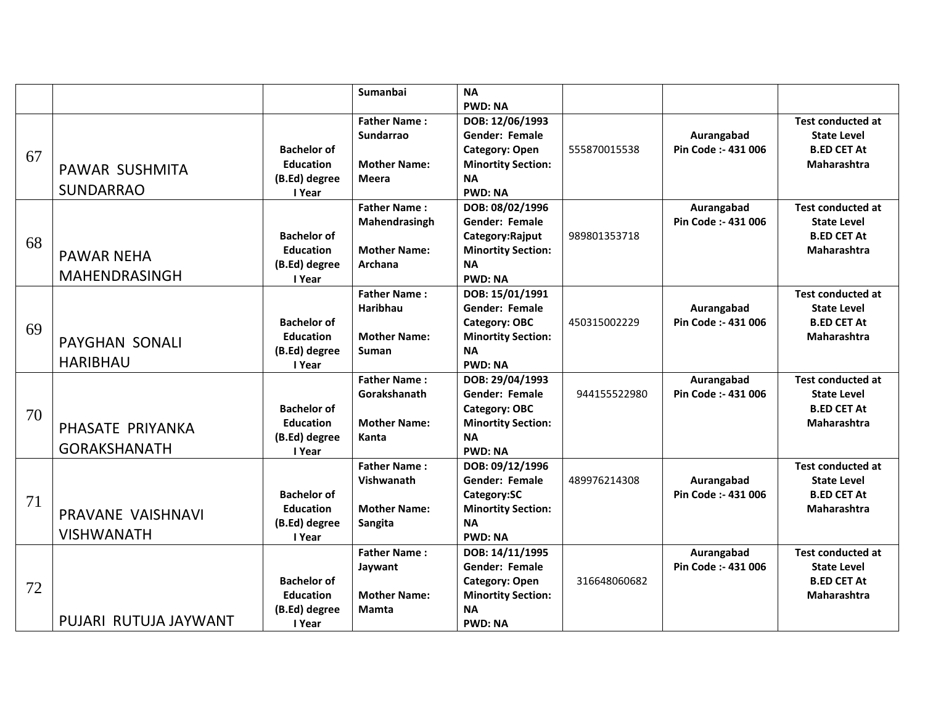|    |                       |                                        | <b>Sumanbai</b>     | <b>NA</b>                                          |              |                     |                                          |
|----|-----------------------|----------------------------------------|---------------------|----------------------------------------------------|--------------|---------------------|------------------------------------------|
|    |                       |                                        | <b>Father Name:</b> | <b>PWD: NA</b><br>DOB: 12/06/1993                  |              |                     | <b>Test conducted at</b>                 |
|    |                       |                                        | <b>Sundarrao</b>    | <b>Gender: Female</b>                              |              | Aurangabad          | <b>State Level</b>                       |
| 67 |                       | <b>Bachelor of</b><br><b>Education</b> | <b>Mother Name:</b> | <b>Category: Open</b><br><b>Minortity Section:</b> | 555870015538 | Pin Code :- 431 006 | <b>B.ED CET At</b><br>Maharashtra        |
|    | PAWAR SUSHMITA        | (B.Ed) degree                          | <b>Meera</b>        | <b>NA</b>                                          |              |                     |                                          |
|    | <b>SUNDARRAO</b>      | I Year                                 |                     | <b>PWD: NA</b>                                     |              |                     |                                          |
|    |                       |                                        | <b>Father Name:</b> | DOB: 08/02/1996                                    |              | Aurangabad          | <b>Test conducted at</b>                 |
|    |                       |                                        | Mahendrasingh       | Gender: Female                                     |              | Pin Code :- 431 006 | <b>State Level</b>                       |
| 68 |                       | <b>Bachelor of</b>                     |                     | Category:Rajput                                    | 989801353718 |                     | <b>B.ED CET At</b>                       |
|    | <b>PAWAR NEHA</b>     | <b>Education</b>                       | <b>Mother Name:</b> | <b>Minortity Section:</b>                          |              |                     | <b>Maharashtra</b>                       |
|    | <b>MAHENDRASINGH</b>  | (B.Ed) degree                          | Archana             | <b>NA</b><br><b>PWD: NA</b>                        |              |                     |                                          |
|    |                       | I Year                                 | <b>Father Name:</b> | DOB: 15/01/1991                                    |              |                     | <b>Test conducted at</b>                 |
|    |                       |                                        | <b>Haribhau</b>     | <b>Gender: Female</b>                              |              | Aurangabad          | <b>State Level</b>                       |
|    |                       | <b>Bachelor of</b>                     |                     | Category: OBC                                      | 450315002229 | Pin Code :- 431 006 | <b>B.ED CET At</b>                       |
| 69 | <b>PAYGHAN SONALI</b> | <b>Education</b>                       | <b>Mother Name:</b> | <b>Minortity Section:</b>                          |              |                     | <b>Maharashtra</b>                       |
|    |                       | (B.Ed) degree                          | <b>Suman</b>        | <b>NA</b>                                          |              |                     |                                          |
|    | <b>HARIBHAU</b>       | I Year                                 |                     | <b>PWD: NA</b>                                     |              |                     |                                          |
|    |                       |                                        | <b>Father Name:</b> | DOB: 29/04/1993                                    |              | Aurangabad          | <b>Test conducted at</b>                 |
|    |                       | <b>Bachelor of</b>                     | Gorakshanath        | Gender: Female                                     | 944155522980 | Pin Code :- 431 006 | <b>State Level</b><br><b>B.ED CET At</b> |
| 70 |                       | <b>Education</b>                       | <b>Mother Name:</b> | Category: OBC<br><b>Minortity Section:</b>         |              |                     | <b>Maharashtra</b>                       |
|    | PHASATE PRIYANKA      | (B.Ed) degree                          | Kanta               | <b>NA</b>                                          |              |                     |                                          |
|    | <b>GORAKSHANATH</b>   | I Year                                 |                     | <b>PWD: NA</b>                                     |              |                     |                                          |
|    |                       |                                        | <b>Father Name:</b> | DOB: 09/12/1996                                    |              |                     | <b>Test conducted at</b>                 |
|    |                       |                                        | Vishwanath          | <b>Gender: Female</b>                              | 489976214308 | Aurangabad          | <b>State Level</b>                       |
| 71 |                       | <b>Bachelor of</b>                     |                     | Category:SC                                        |              | Pin Code :- 431 006 | <b>B.ED CET At</b>                       |
|    | PRAVANE VAISHNAVI     | <b>Education</b>                       | <b>Mother Name:</b> | <b>Minortity Section:</b>                          |              |                     | Maharashtra                              |
|    | <b>VISHWANATH</b>     | (B.Ed) degree<br>I Year                | Sangita             | <b>NA</b><br><b>PWD: NA</b>                        |              |                     |                                          |
|    |                       |                                        | <b>Father Name:</b> | DOB: 14/11/1995                                    |              | Aurangabad          | <b>Test conducted at</b>                 |
|    |                       |                                        | Jaywant             | <b>Gender: Female</b>                              |              | Pin Code: - 431 006 | <b>State Level</b>                       |
|    |                       | <b>Bachelor of</b>                     |                     | <b>Category: Open</b>                              | 316648060682 |                     | <b>B.ED CET At</b>                       |
| 72 |                       | <b>Education</b>                       | <b>Mother Name:</b> | <b>Minortity Section:</b>                          |              |                     | <b>Maharashtra</b>                       |
|    |                       | (B.Ed) degree                          | Mamta               | <b>NA</b>                                          |              |                     |                                          |
|    | PUJARI RUTUJA JAYWANT | I Year                                 |                     | <b>PWD: NA</b>                                     |              |                     |                                          |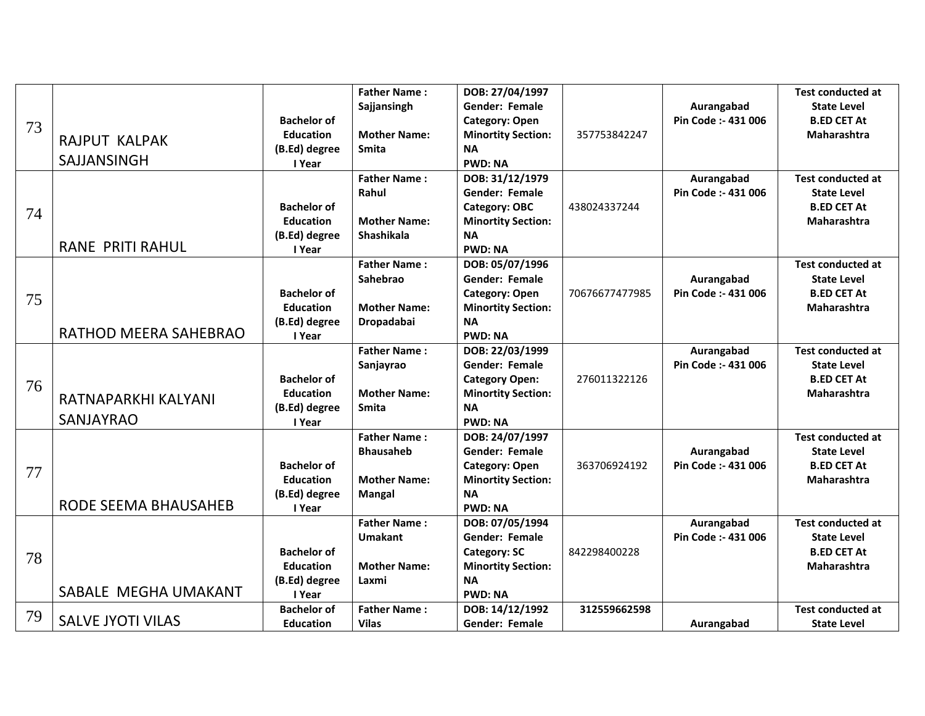|    |                              |                    | <b>Father Name:</b> | DOB: 27/04/1997           |                |                     | <b>Test conducted at</b> |
|----|------------------------------|--------------------|---------------------|---------------------------|----------------|---------------------|--------------------------|
| 73 |                              |                    | Sajjansingh         | <b>Gender: Female</b>     |                | Aurangabad          | <b>State Level</b>       |
|    |                              | <b>Bachelor of</b> |                     | <b>Category: Open</b>     |                | Pin Code :- 431 006 | <b>B.ED CET At</b>       |
|    |                              | <b>Education</b>   | <b>Mother Name:</b> | <b>Minortity Section:</b> | 357753842247   |                     | Maharashtra              |
|    | <b>RAJPUT KALPAK</b>         | (B.Ed) degree      | <b>Smita</b>        | <b>NA</b>                 |                |                     |                          |
|    | SAJJANSINGH                  | I Year             |                     | <b>PWD: NA</b>            |                |                     |                          |
|    |                              |                    | <b>Father Name:</b> | DOB: 31/12/1979           |                | Aurangabad          | <b>Test conducted at</b> |
|    |                              |                    | Rahul               | <b>Gender: Female</b>     |                | Pin Code :- 431 006 | <b>State Level</b>       |
| 74 |                              | <b>Bachelor of</b> |                     | Category: OBC             | 438024337244   |                     | <b>B.ED CET At</b>       |
|    |                              | <b>Education</b>   | <b>Mother Name:</b> | <b>Minortity Section:</b> |                |                     | Maharashtra              |
|    |                              | (B.Ed) degree      | <b>Shashikala</b>   | <b>NA</b>                 |                |                     |                          |
|    | <b>RANE PRITI RAHUL</b>      | I Year             |                     | <b>PWD: NA</b>            |                |                     |                          |
|    |                              |                    | <b>Father Name:</b> | DOB: 05/07/1996           |                |                     | <b>Test conducted at</b> |
|    |                              |                    | <b>Sahebrao</b>     | <b>Gender: Female</b>     |                | Aurangabad          | <b>State Level</b>       |
| 75 |                              | <b>Bachelor of</b> |                     | <b>Category: Open</b>     | 70676677477985 | Pin Code :- 431 006 | <b>B.ED CET At</b>       |
|    |                              | <b>Education</b>   | <b>Mother Name:</b> | <b>Minortity Section:</b> |                |                     | Maharashtra              |
|    |                              | (B.Ed) degree      | Dropadabai          | <b>NA</b>                 |                |                     |                          |
|    | <b>RATHOD MEERA SAHEBRAO</b> | I Year             |                     | <b>PWD: NA</b>            |                |                     |                          |
|    |                              |                    | <b>Father Name:</b> | DOB: 22/03/1999           |                | Aurangabad          | <b>Test conducted at</b> |
|    |                              |                    | Sanjayrao           | <b>Gender: Female</b>     |                | Pin Code :- 431 006 | <b>State Level</b>       |
| 76 |                              | <b>Bachelor of</b> |                     | <b>Category Open:</b>     | 276011322126   |                     | <b>B.ED CET At</b>       |
|    | RATNAPARKHI KALYANI          | <b>Education</b>   | <b>Mother Name:</b> | <b>Minortity Section:</b> |                |                     | Maharashtra              |
|    |                              | (B.Ed) degree      | <b>Smita</b>        | <b>NA</b>                 |                |                     |                          |
|    | <b>SANJAYRAO</b>             | I Year             |                     | <b>PWD: NA</b>            |                |                     |                          |
|    |                              |                    | <b>Father Name:</b> | DOB: 24/07/1997           |                |                     | <b>Test conducted at</b> |
|    |                              |                    | <b>Bhausaheb</b>    | <b>Gender: Female</b>     |                | Aurangabad          | <b>State Level</b>       |
| 77 |                              | <b>Bachelor of</b> |                     | <b>Category: Open</b>     | 363706924192   | Pin Code :- 431 006 | <b>B.ED CET At</b>       |
|    |                              | <b>Education</b>   | <b>Mother Name:</b> | <b>Minortity Section:</b> |                |                     | <b>Maharashtra</b>       |
|    |                              | (B.Ed) degree      | <b>Mangal</b>       | <b>NA</b>                 |                |                     |                          |
|    | RODE SEEMA BHAUSAHEB         | I Year             |                     | <b>PWD: NA</b>            |                |                     |                          |
|    |                              |                    | <b>Father Name:</b> | DOB: 07/05/1994           |                | Aurangabad          | <b>Test conducted at</b> |
|    |                              |                    | <b>Umakant</b>      | <b>Gender: Female</b>     |                | Pin Code :- 431 006 | <b>State Level</b>       |
| 78 |                              | <b>Bachelor of</b> |                     | <b>Category: SC</b>       | 842298400228   |                     | <b>B.ED CET At</b>       |
|    |                              | <b>Education</b>   | <b>Mother Name:</b> | <b>Minortity Section:</b> |                |                     | <b>Maharashtra</b>       |
|    |                              | (B.Ed) degree      | Laxmi               | <b>NA</b>                 |                |                     |                          |
|    | SABALE MEGHA UMAKANT         | I Year             |                     | <b>PWD: NA</b>            |                |                     |                          |
| 79 |                              | <b>Bachelor of</b> | <b>Father Name:</b> | DOB: 14/12/1992           | 312559662598   |                     | <b>Test conducted at</b> |
|    | <b>SALVE JYOTI VILAS</b>     | <b>Education</b>   | <b>Vilas</b>        | <b>Gender: Female</b>     |                | Aurangabad          | <b>State Level</b>       |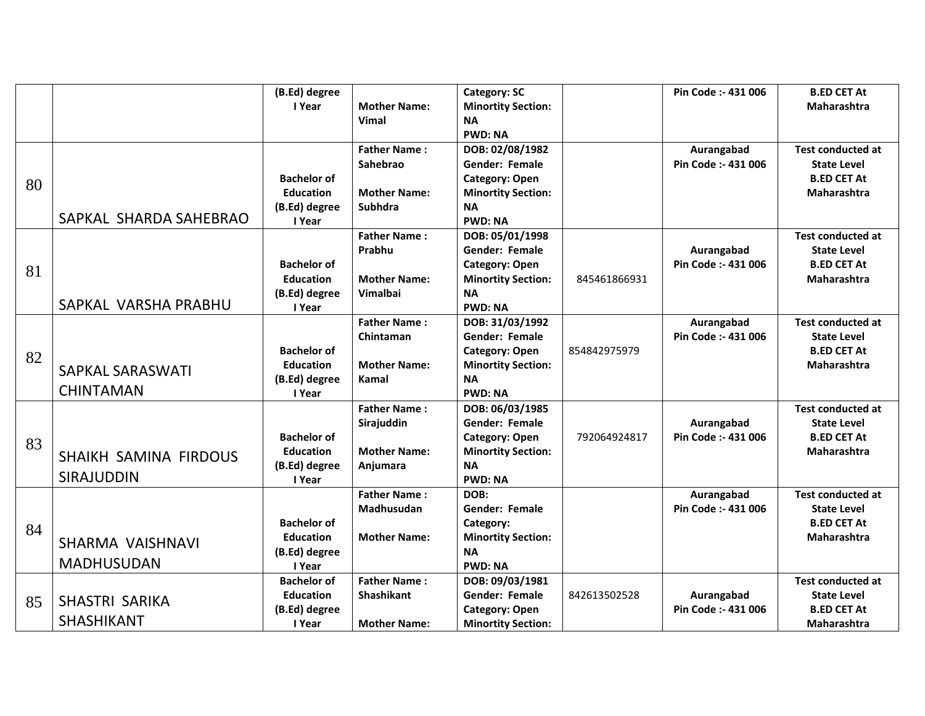|    |                         | (B.Ed) degree      |                     | <b>Category: SC</b>       |              | Pin Code :- 431 006 | <b>B.ED CET At</b>       |
|----|-------------------------|--------------------|---------------------|---------------------------|--------------|---------------------|--------------------------|
|    |                         | I Year             | <b>Mother Name:</b> | <b>Minortity Section:</b> |              |                     | Maharashtra              |
|    |                         |                    | Vimal               | <b>NA</b>                 |              |                     |                          |
|    |                         |                    |                     | <b>PWD: NA</b>            |              |                     |                          |
|    |                         |                    | <b>Father Name:</b> | DOB: 02/08/1982           |              | Aurangabad          | <b>Test conducted at</b> |
|    |                         |                    | Sahebrao            | <b>Gender: Female</b>     |              | Pin Code :- 431 006 | <b>State Level</b>       |
|    |                         | <b>Bachelor of</b> |                     | Category: Open            |              |                     | <b>B.ED CET At</b>       |
| 80 |                         | <b>Education</b>   | <b>Mother Name:</b> | <b>Minortity Section:</b> |              |                     | <b>Maharashtra</b>       |
|    |                         | (B.Ed) degree      | <b>Subhdra</b>      | <b>NA</b>                 |              |                     |                          |
|    | SAPKAL SHARDA SAHEBRAO  | I Year             |                     | <b>PWD: NA</b>            |              |                     |                          |
|    |                         |                    | <b>Father Name:</b> | DOB: 05/01/1998           |              |                     | <b>Test conducted at</b> |
|    |                         |                    | Prabhu              | <b>Gender: Female</b>     |              | Aurangabad          | <b>State Level</b>       |
|    |                         | <b>Bachelor of</b> |                     | <b>Category: Open</b>     |              | Pin Code :- 431 006 | <b>B.ED CET At</b>       |
| 81 |                         | <b>Education</b>   | <b>Mother Name:</b> | <b>Minortity Section:</b> | 845461866931 |                     | Maharashtra              |
|    |                         | (B.Ed) degree      | Vimalbai            | <b>NA</b>                 |              |                     |                          |
|    | SAPKAL VARSHA PRABHU    | I Year             |                     | <b>PWD: NA</b>            |              |                     |                          |
|    |                         |                    | <b>Father Name:</b> | DOB: 31/03/1992           |              | Aurangabad          | <b>Test conducted at</b> |
|    |                         |                    | Chintaman           | <b>Gender: Female</b>     |              | Pin Code :- 431 006 | <b>State Level</b>       |
| 82 |                         | <b>Bachelor of</b> |                     | <b>Category: Open</b>     | 854842975979 |                     | <b>B.ED CET At</b>       |
|    | <b>SAPKAL SARASWATI</b> | <b>Education</b>   | <b>Mother Name:</b> | <b>Minortity Section:</b> |              |                     | <b>Maharashtra</b>       |
|    |                         | (B.Ed) degree      | Kamal               | <b>NA</b>                 |              |                     |                          |
|    | <b>CHINTAMAN</b>        | I Year             |                     | <b>PWD: NA</b>            |              |                     |                          |
|    |                         |                    | <b>Father Name:</b> | DOB: 06/03/1985           |              |                     | <b>Test conducted at</b> |
|    |                         |                    | Sirajuddin          | Gender: Female            |              | Aurangabad          | <b>State Level</b>       |
| 83 |                         | <b>Bachelor of</b> |                     | <b>Category: Open</b>     | 792064924817 | Pin Code :- 431 006 | <b>B.ED CET At</b>       |
|    | SHAIKH SAMINA FIRDOUS   | <b>Education</b>   | <b>Mother Name:</b> | <b>Minortity Section:</b> |              |                     | Maharashtra              |
|    |                         | (B.Ed) degree      | Anjumara            | <b>NA</b>                 |              |                     |                          |
|    | <b>SIRAJUDDIN</b>       | I Year             |                     | <b>PWD: NA</b>            |              |                     |                          |
|    |                         |                    | <b>Father Name:</b> | DOB:                      |              | Aurangabad          | <b>Test conducted at</b> |
|    |                         |                    | Madhusudan          | <b>Gender: Female</b>     |              | Pin Code :- 431 006 | <b>State Level</b>       |
| 84 |                         | <b>Bachelor of</b> |                     | Category:                 |              |                     | <b>B.ED CET At</b>       |
|    | SHARMA VAISHNAVI        | <b>Education</b>   | <b>Mother Name:</b> | <b>Minortity Section:</b> |              |                     | <b>Maharashtra</b>       |
|    |                         | (B.Ed) degree      |                     | <b>NA</b>                 |              |                     |                          |
|    | <b>MADHUSUDAN</b>       | I Year             |                     | <b>PWD: NA</b>            |              |                     |                          |
|    |                         | <b>Bachelor of</b> | <b>Father Name:</b> | DOB: 09/03/1981           |              |                     | <b>Test conducted at</b> |
| 85 | SHASTRI SARIKA          | <b>Education</b>   | Shashikant          | Gender: Female            | 842613502528 | Aurangabad          | <b>State Level</b>       |
|    |                         | (B.Ed) degree      |                     | <b>Category: Open</b>     |              | Pin Code :- 431 006 | <b>B.ED CET At</b>       |
|    | <b>SHASHIKANT</b>       | I Year             | <b>Mother Name:</b> | <b>Minortity Section:</b> |              |                     | <b>Maharashtra</b>       |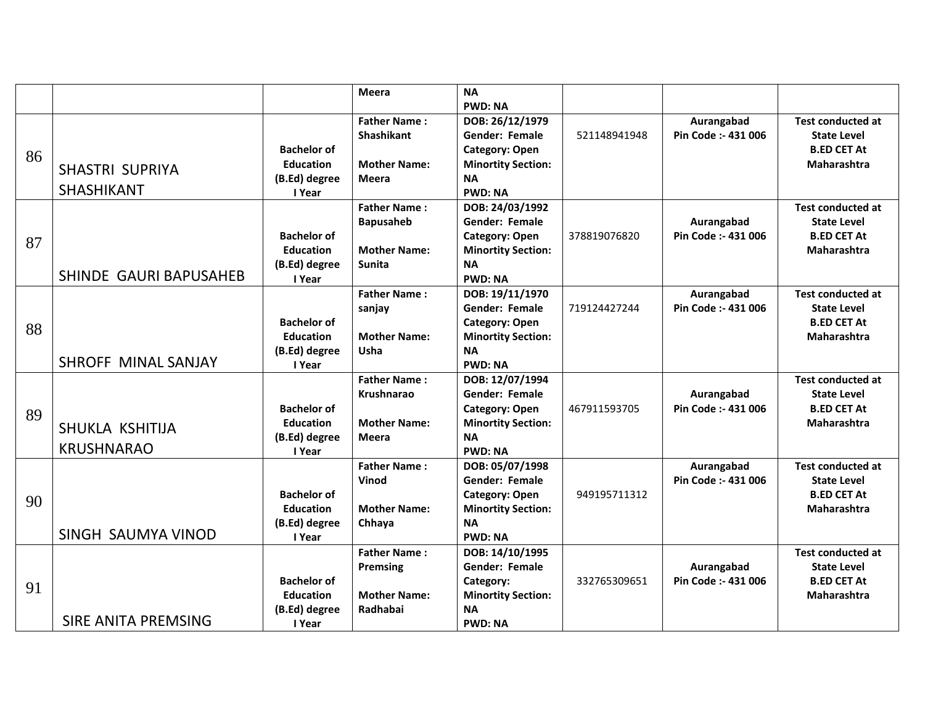| <b>PWD: NA</b><br><b>Father Name:</b><br>DOB: 26/12/1979<br>Aurangabad<br><b>Shashikant</b><br>Gender: Female<br>Pin Code :- 431 006<br>521148941948<br><b>Bachelor of</b><br><b>Category: Open</b><br>86<br><b>Mother Name:</b><br><b>Education</b><br><b>Minortity Section:</b> | <b>Test conducted at</b><br><b>State Level</b><br><b>B.ED CET At</b><br>Maharashtra<br><b>Test conducted at</b> |
|-----------------------------------------------------------------------------------------------------------------------------------------------------------------------------------------------------------------------------------------------------------------------------------|-----------------------------------------------------------------------------------------------------------------|
|                                                                                                                                                                                                                                                                                   |                                                                                                                 |
|                                                                                                                                                                                                                                                                                   |                                                                                                                 |
|                                                                                                                                                                                                                                                                                   |                                                                                                                 |
|                                                                                                                                                                                                                                                                                   |                                                                                                                 |
| <b>SHASTRI SUPRIYA</b>                                                                                                                                                                                                                                                            |                                                                                                                 |
| (B.Ed) degree<br><b>Meera</b><br><b>NA</b>                                                                                                                                                                                                                                        |                                                                                                                 |
| <b>SHASHIKANT</b><br><b>PWD: NA</b><br>I Year                                                                                                                                                                                                                                     |                                                                                                                 |
| <b>Father Name:</b><br>DOB: 24/03/1992                                                                                                                                                                                                                                            |                                                                                                                 |
| <b>Bapusaheb</b><br>Gender: Female<br>Aurangabad                                                                                                                                                                                                                                  | <b>State Level</b>                                                                                              |
| <b>Bachelor of</b><br>378819076820<br><b>Category: Open</b><br>Pin Code :- 431 006<br>87                                                                                                                                                                                          | <b>B.ED CET At</b>                                                                                              |
| <b>Education</b><br><b>Mother Name:</b><br><b>Minortity Section:</b>                                                                                                                                                                                                              | <b>Maharashtra</b>                                                                                              |
| (B.Ed) degree<br><b>Sunita</b><br><b>NA</b>                                                                                                                                                                                                                                       |                                                                                                                 |
| SHINDE GAURI BAPUSAHEB<br><b>PWD: NA</b><br>I Year                                                                                                                                                                                                                                |                                                                                                                 |
| <b>Father Name:</b><br>Aurangabad<br>DOB: 19/11/1970                                                                                                                                                                                                                              | <b>Test conducted at</b>                                                                                        |
| <b>Gender: Female</b><br>719124427244<br>Pin Code :- 431 006<br>sanjay                                                                                                                                                                                                            | <b>State Level</b>                                                                                              |
| <b>Bachelor of</b><br><b>Category: Open</b><br>88                                                                                                                                                                                                                                 | <b>B.ED CET At</b>                                                                                              |
| <b>Mother Name:</b><br><b>Education</b><br><b>Minortity Section:</b>                                                                                                                                                                                                              | <b>Maharashtra</b>                                                                                              |
| (B.Ed) degree<br>Usha<br><b>NA</b>                                                                                                                                                                                                                                                |                                                                                                                 |
| <b>SHROFF MINAL SANJAY</b><br><b>PWD: NA</b><br>I Year                                                                                                                                                                                                                            |                                                                                                                 |
| <b>Father Name:</b><br>DOB: 12/07/1994                                                                                                                                                                                                                                            | <b>Test conducted at</b>                                                                                        |
| <b>Gender: Female</b><br><b>Krushnarao</b><br>Aurangabad                                                                                                                                                                                                                          | <b>State Level</b>                                                                                              |
| <b>Bachelor of</b><br>467911593705<br>Pin Code :- 431 006<br><b>Category: Open</b><br>89                                                                                                                                                                                          | <b>B.ED CET At</b>                                                                                              |
| <b>Mother Name:</b><br><b>Minortity Section:</b><br><b>Education</b><br>SHUKLA KSHITIJA                                                                                                                                                                                           | Maharashtra                                                                                                     |
| (B.Ed) degree<br><b>NA</b><br>Meera<br><b>KRUSHNARAO</b>                                                                                                                                                                                                                          |                                                                                                                 |
| <b>PWD: NA</b><br>I Year                                                                                                                                                                                                                                                          |                                                                                                                 |
| <b>Father Name:</b><br>DOB: 05/07/1998<br>Aurangabad                                                                                                                                                                                                                              | <b>Test conducted at</b>                                                                                        |
| Vinod<br><b>Gender: Female</b><br>Pin Code: - 431 006                                                                                                                                                                                                                             | <b>State Level</b>                                                                                              |
| <b>Bachelor of</b><br><b>Category: Open</b><br>949195711312<br>90                                                                                                                                                                                                                 | <b>B.ED CET At</b>                                                                                              |
| <b>Mother Name:</b><br><b>Education</b><br><b>Minortity Section:</b><br><b>NA</b>                                                                                                                                                                                                 | Maharashtra                                                                                                     |
| (B.Ed) degree<br>Chhaya<br>SINGH SAUMYA VINOD<br><b>PWD: NA</b>                                                                                                                                                                                                                   |                                                                                                                 |
| I Year<br><b>Father Name:</b><br>DOB: 14/10/1995                                                                                                                                                                                                                                  | <b>Test conducted at</b>                                                                                        |
| <b>Gender: Female</b><br>Aurangabad<br>Premsing                                                                                                                                                                                                                                   | <b>State Level</b>                                                                                              |
| <b>Bachelor of</b><br>332765309651<br>Pin Code: - 431 006<br>Category:                                                                                                                                                                                                            | <b>B.ED CET At</b>                                                                                              |
| 91<br><b>Education</b><br><b>Mother Name:</b><br><b>Minortity Section:</b>                                                                                                                                                                                                        | <b>Maharashtra</b>                                                                                              |
| (B.Ed) degree<br>Radhabai<br><b>NA</b>                                                                                                                                                                                                                                            |                                                                                                                 |
| <b>SIRE ANITA PREMSING</b><br>I Year<br><b>PWD: NA</b>                                                                                                                                                                                                                            |                                                                                                                 |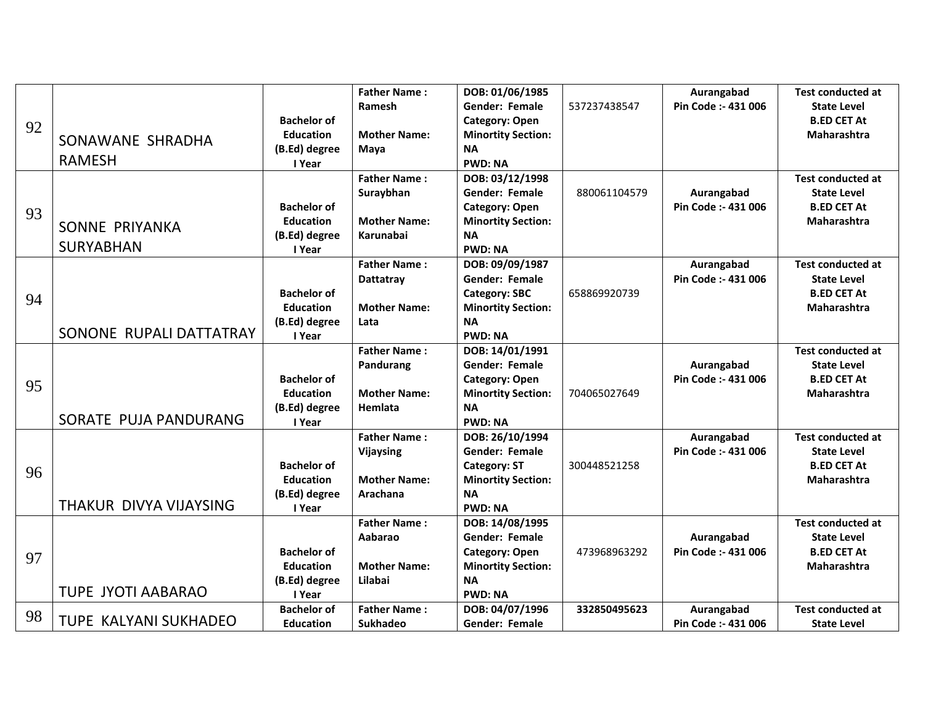|    |                              |                    | <b>Father Name:</b> | DOB: 01/06/1985           |              | Aurangabad          | <b>Test conducted at</b> |
|----|------------------------------|--------------------|---------------------|---------------------------|--------------|---------------------|--------------------------|
| 92 |                              |                    | Ramesh              | <b>Gender: Female</b>     | 537237438547 | Pin Code :- 431 006 | <b>State Level</b>       |
|    |                              | <b>Bachelor of</b> |                     | <b>Category: Open</b>     |              |                     | <b>B.ED CET At</b>       |
|    |                              | <b>Education</b>   | <b>Mother Name:</b> | <b>Minortity Section:</b> |              |                     | Maharashtra              |
|    | SONAWANE SHRADHA             | (B.Ed) degree      | Maya                | <b>NA</b>                 |              |                     |                          |
|    | <b>RAMESH</b>                | I Year             |                     | <b>PWD: NA</b>            |              |                     |                          |
|    |                              |                    | <b>Father Name:</b> | DOB: 03/12/1998           |              |                     | <b>Test conducted at</b> |
|    |                              |                    | Suraybhan           | <b>Gender: Female</b>     | 880061104579 | Aurangabad          | <b>State Level</b>       |
| 93 |                              | <b>Bachelor of</b> |                     | <b>Category: Open</b>     |              | Pin Code :- 431 006 | <b>B.ED CET At</b>       |
|    | SONNE PRIYANKA               | <b>Education</b>   | <b>Mother Name:</b> | <b>Minortity Section:</b> |              |                     | <b>Maharashtra</b>       |
|    |                              | (B.Ed) degree      | <b>Karunabai</b>    | <b>NA</b>                 |              |                     |                          |
|    | <b>SURYABHAN</b>             | I Year             |                     | <b>PWD: NA</b>            |              |                     |                          |
|    |                              |                    | <b>Father Name:</b> | DOB: 09/09/1987           |              | Aurangabad          | <b>Test conducted at</b> |
|    |                              |                    | Dattatray           | Gender: Female            |              | Pin Code :- 431 006 | <b>State Level</b>       |
| 94 |                              | <b>Bachelor of</b> |                     | <b>Category: SBC</b>      | 658869920739 |                     | <b>B.ED CET At</b>       |
|    |                              | <b>Education</b>   | <b>Mother Name:</b> | <b>Minortity Section:</b> |              |                     | <b>Maharashtra</b>       |
|    |                              | (B.Ed) degree      | Lata                | <b>NA</b>                 |              |                     |                          |
|    | SONONE RUPALI DATTATRAY      | I Year             |                     | <b>PWD: NA</b>            |              |                     |                          |
|    |                              |                    | <b>Father Name:</b> | DOB: 14/01/1991           |              |                     | <b>Test conducted at</b> |
|    |                              |                    | Pandurang           | Gender: Female            |              | Aurangabad          | <b>State Level</b>       |
| 95 |                              | <b>Bachelor of</b> |                     | <b>Category: Open</b>     |              | Pin Code: - 431 006 | <b>B.ED CET At</b>       |
|    |                              | <b>Education</b>   | <b>Mother Name:</b> | <b>Minortity Section:</b> | 704065027649 |                     | <b>Maharashtra</b>       |
|    |                              | (B.Ed) degree      | Hemlata             | <b>NA</b>                 |              |                     |                          |
|    | SORATE PUJA PANDURANG        | I Year             |                     | <b>PWD: NA</b>            |              |                     |                          |
|    |                              |                    | <b>Father Name:</b> | DOB: 26/10/1994           |              | Aurangabad          | <b>Test conducted at</b> |
|    |                              |                    | Vijaysing           | Gender: Female            |              | Pin Code :- 431 006 | <b>State Level</b>       |
| 96 |                              | <b>Bachelor of</b> |                     | <b>Category: ST</b>       | 300448521258 |                     | <b>B.ED CET At</b>       |
|    |                              | <b>Education</b>   | <b>Mother Name:</b> | <b>Minortity Section:</b> |              |                     | Maharashtra              |
|    |                              | (B.Ed) degree      | Arachana            | <b>NA</b>                 |              |                     |                          |
|    | THAKUR DIVYA VIJAYSING       | I Year             |                     | <b>PWD: NA</b>            |              |                     |                          |
|    |                              |                    | <b>Father Name:</b> | DOB: 14/08/1995           |              |                     | <b>Test conducted at</b> |
|    |                              |                    | Aabarao             | <b>Gender: Female</b>     |              | Aurangabad          | <b>State Level</b>       |
| 97 |                              | <b>Bachelor of</b> |                     | <b>Category: Open</b>     | 473968963292 | Pin Code :- 431 006 | <b>B.ED CET At</b>       |
|    |                              | <b>Education</b>   | <b>Mother Name:</b> | <b>Minortity Section:</b> |              |                     | <b>Maharashtra</b>       |
|    |                              | (B.Ed) degree      | Lilabai             | <b>NA</b>                 |              |                     |                          |
|    | <b>TUPE JYOTI AABARAO</b>    | I Year             |                     | <b>PWD: NA</b>            |              |                     |                          |
| 98 |                              | <b>Bachelor of</b> | <b>Father Name:</b> | DOB: 04/07/1996           | 332850495623 | Aurangabad          | <b>Test conducted at</b> |
|    | <b>TUPE KALYANI SUKHADEO</b> | <b>Education</b>   | <b>Sukhadeo</b>     | <b>Gender: Female</b>     |              | Pin Code: - 431 006 | <b>State Level</b>       |